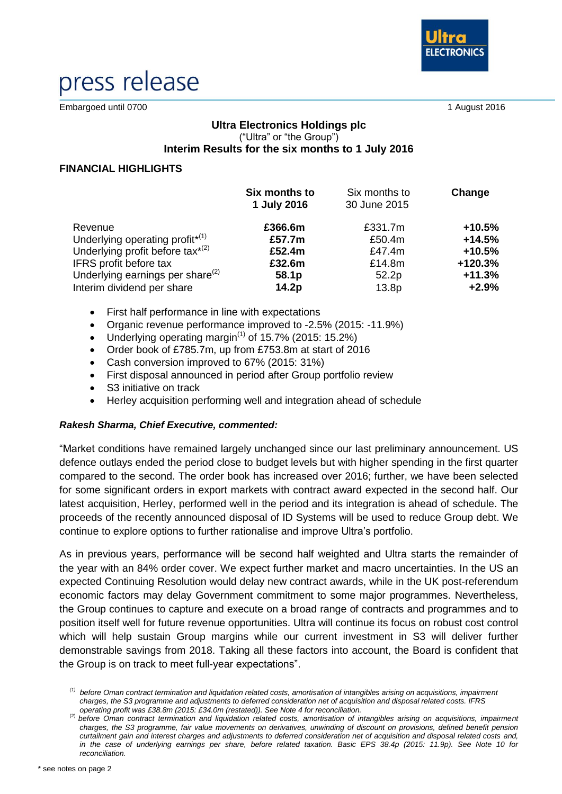

# press release

Embargoed until 0700 1 August 2016

### **Ultra Electronics Holdings plc** ("Ultra" or "the Group") **Interim Results for the six months to 1 July 2016**

### **FINANCIAL HIGHLIGHTS**

|                                             | Six months to<br>1 July 2016 | Six months to<br>30 June 2015 | Change   |
|---------------------------------------------|------------------------------|-------------------------------|----------|
| Revenue                                     | £366.6m                      | £331.7m                       | $+10.5%$ |
| Underlying operating profit <sup>*(1)</sup> | £57.7m                       | £50.4m                        | $+14.5%$ |
| Underlying profit before tax $x^{(2)}$      | £52.4m                       | £47.4m                        | $+10.5%$ |
| IFRS profit before tax                      | £32.6m                       | £14.8m                        | +120.3%  |
| Underlying earnings per share $^{(2)}$      | 58.1p                        | 52.2p                         | $+11.3%$ |
| Interim dividend per share                  | 14.2p                        | 13.8p                         | $+2.9%$  |

- First half performance in line with expectations
- Organic revenue performance improved to -2.5% (2015: -11.9%)
- Underlying operating margin<sup> $(1)$ </sup> of 15.7% (2015: 15.2%)
- Order book of £785.7m, up from £753.8m at start of 2016
- Cash conversion improved to 67% (2015: 31%)
- First disposal announced in period after Group portfolio review
- S3 initiative on track
- Herley acquisition performing well and integration ahead of schedule

### *Rakesh Sharma, Chief Executive, commented:*

"Market conditions have remained largely unchanged since our last preliminary announcement. US defence outlays ended the period close to budget levels but with higher spending in the first quarter compared to the second. The order book has increased over 2016; further, we have been selected for some significant orders in export markets with contract award expected in the second half. Our latest acquisition, Herley, performed well in the period and its integration is ahead of schedule. The proceeds of the recently announced disposal of ID Systems will be used to reduce Group debt. We continue to explore options to further rationalise and improve Ultra's portfolio.

As in previous years, performance will be second half weighted and Ultra starts the remainder of the year with an 84% order cover. We expect further market and macro uncertainties. In the US an expected Continuing Resolution would delay new contract awards, while in the UK post-referendum economic factors may delay Government commitment to some major programmes. Nevertheless, the Group continues to capture and execute on a broad range of contracts and programmes and to position itself well for future revenue opportunities. Ultra will continue its focus on robust cost control which will help sustain Group margins while our current investment in S3 will deliver further demonstrable savings from 2018. Taking all these factors into account, the Board is confident that the Group is on track to meet full-year expectations".

*<sup>(1)</sup> before Oman contract termination and liquidation related costs, amortisation of intangibles arising on acquisitions, impairment charges, the S3 programme and adjustments to deferred consideration net of acquisition and disposal related costs. IFRS operating profit was £38.8m (2015: £34.0m (restated)). See Note 4 for reconciliation.*

<sup>(2)</sup> *before Oman contract termination and liquidation related costs, amortisation of intangibles arising on acquisitions, impairment charges, the S3 programme, fair value movements on derivatives, unwinding of discount on provisions, defined benefit pension curtailment gain and interest charges and adjustments to deferred consideration net of acquisition and disposal related costs and, in the case of underlying earnings per share, before related taxation. Basic EPS 38.4p (2015: 11.9p). See Note 10 for reconciliation.*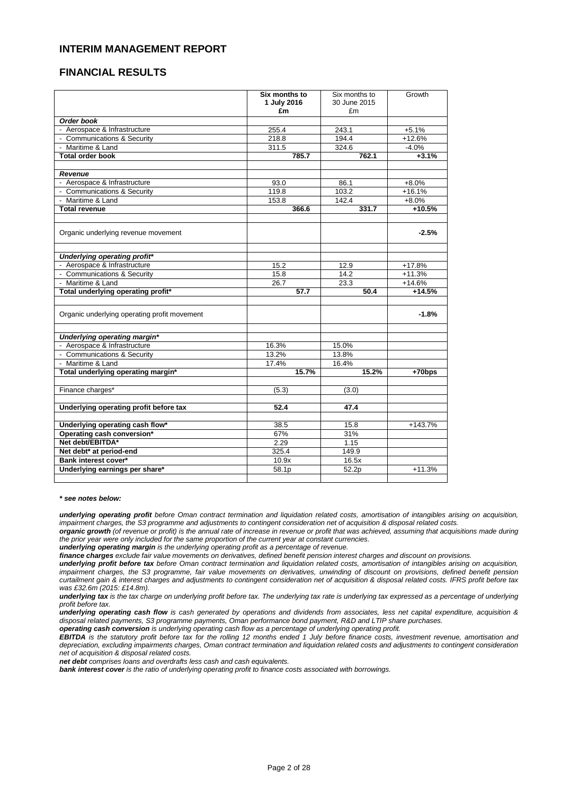### **INTERIM MANAGEMENT REPORT**

### **FINANCIAL RESULTS**

|                                              | Six months to<br>1 July 2016<br>£m | Six months to<br>30 June 2015<br>£m | Growth   |
|----------------------------------------------|------------------------------------|-------------------------------------|----------|
| Order book                                   |                                    |                                     |          |
| - Aerospace & Infrastructure                 | 255.4                              | 243.1                               | $+5.1%$  |
| - Communications & Security                  | 218.8                              | 194.4                               | $+12.6%$ |
| - Maritime & Land                            | 311.5                              | 324.6                               | $-4.0%$  |
| <b>Total order book</b>                      | 785.7                              | 762.1                               | $+3.1%$  |
| <b>Revenue</b>                               |                                    |                                     |          |
| - Aerospace & Infrastructure                 | 93.0                               | 86.1                                | $+8.0%$  |
| - Communications & Security                  | 119.8                              | 103.2                               | $+16.1%$ |
| - Maritime & Land                            | 153.8                              | 142.4                               | $+8.0%$  |
| <b>Total revenue</b>                         | 366.6                              | 331.7                               | $+10.5%$ |
| Organic underlying revenue movement          |                                    |                                     | $-2.5%$  |
| Underlying operating profit*                 |                                    |                                     |          |
| - Aerospace & Infrastructure                 | 15.2                               | 12.9                                | $+17.8%$ |
| - Communications & Security                  | 15.8                               | 14.2                                | $+11.3%$ |
| - Maritime & Land                            | 26.7                               | 23.3                                | $+14.6%$ |
| Total underlying operating profit*           | 57.7                               | 50.4                                | $+14.5%$ |
| Organic underlying operating profit movement |                                    |                                     | $-1.8%$  |
| Underlying operating margin*                 |                                    |                                     |          |
| - Aerospace & Infrastructure                 | 16.3%                              | 15.0%                               |          |
| - Communications & Security                  | 13.2%                              | 13.8%                               |          |
| - Maritime & Land                            | 17.4%                              | 16.4%                               |          |
| Total underlying operating margin*           | 15.7%                              | 15.2%                               | $+70bps$ |
| Finance charges*                             | (5.3)                              | (3.0)                               |          |
| Underlying operating profit before tax       | 52.4                               | 47.4                                |          |
| Underlying operating cash flow*              | 38.5                               | 15.8                                | +143.7%  |
| Operating cash conversion*                   | 67%                                | 31%                                 |          |
| Net debt/EBITDA*                             | 2.29                               | 1.15                                |          |
| Net debt* at period-end                      | 325.4                              | 149.9                               |          |
| Bank interest cover*                         | 10.9x                              | 16.5x                               |          |
| Underlying earnings per share*               | 58.1p                              | 52.2p                               | $+11.3%$ |

*\* see notes below:*

underlying operating profit before Oman contract termination and liquidation related costs, amortisation of intangibles arising on acquisition, impairment charges, the S3 programme and adjustments to contingent consideration net of acquisition & disposal related costs.

organic growth (of revenue or profit) is the annual rate of increase in revenue or profit that was achieved, assuming that acquisitions made during *the prior year were only included for the same proportion of the current year at constant currencies.*

*underlying operating margin is the underlying operating profit as a percentage of revenue.*

finance charges exclude fair value movements on derivatives, defined benefit pension interest charges and discount on provisions.

underlying profit before tax before Oman contract termination and liquidation related costs, amortisation of intangibles arising on acquisition, impairment charges, the S3 programme, fair value movements on derivatives, unwinding of discount on provisions, defined benefit pension curtailment gain & interest charges and adjustments to contingent consideration net of acquisition & disposal related costs. IFRS profit before tax *was £32.6m (2015: £14.8m).*

underlying tax is the tax charge on underlying profit before tax. The underlying tax rate is underlying tax expressed as a percentage of underlying *profit before tax.*

underlying operating cash flow is cash generated by operations and dividends from associates, less net capital expenditure, acquisition & *disposal related payments, S3 programme payments, Oman performance bond payment, R&D and LTIP share purchases.*

*operating cash conversion is underlying operating cash flow as a percentage of underlying operating profit.*

EBITDA is the statutory profit before tax for the rolling 12 months ended 1 July before finance costs, investment revenue, amortisation and depreciation, excluding impairments charges, Oman contract termination and liquidation related costs and adjustments to contingent consideration *net of acquisition & disposal related costs.*

*net debt comprises loans and overdrafts less cash and cash equivalents.*

*bank interest cover is the ratio of underlying operating profit to finance costs associated with borrowings.*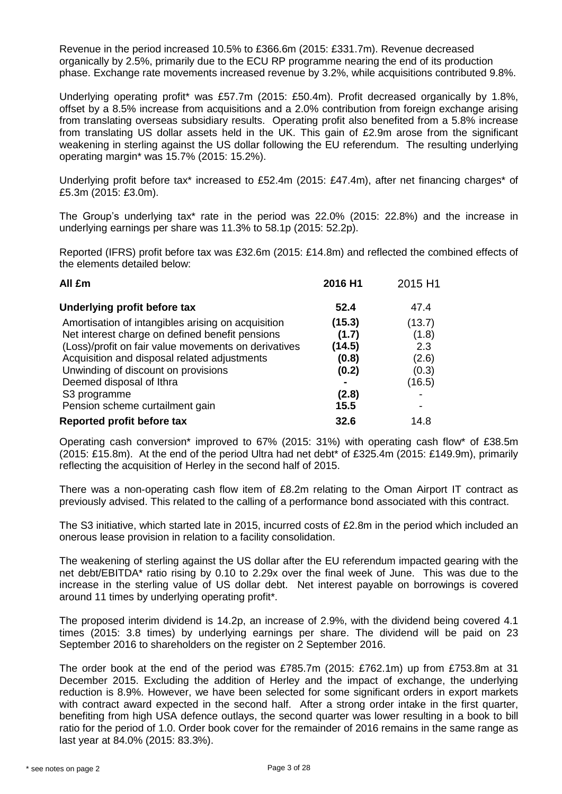Revenue in the period increased 10.5% to £366.6m (2015: £331.7m). Revenue decreased organically by 2.5%, primarily due to the ECU RP programme nearing the end of its production phase. Exchange rate movements increased revenue by 3.2%, while acquisitions contributed 9.8%.

Underlying operating profit\* was £57.7m (2015: £50.4m). Profit decreased organically by 1.8%, offset by a 8.5% increase from acquisitions and a 2.0% contribution from foreign exchange arising from translating overseas subsidiary results. Operating profit also benefited from a 5.8% increase from translating US dollar assets held in the UK. This gain of £2.9m arose from the significant weakening in sterling against the US dollar following the EU referendum. The resulting underlying operating margin\* was 15.7% (2015: 15.2%).

Underlying profit before tax\* increased to £52.4m (2015: £47.4m), after net financing charges\* of £5.3m (2015: £3.0m).

The Group's underlying tax\* rate in the period was 22.0% (2015: 22.8%) and the increase in underlying earnings per share was 11.3% to 58.1p (2015: 52.2p).

Reported (IFRS) profit before tax was £32.6m (2015: £14.8m) and reflected the combined effects of the elements detailed below:

| All £m                                               | 2016 H1 | 2015 H1 |
|------------------------------------------------------|---------|---------|
| Underlying profit before tax                         | 52.4    | 47.4    |
| Amortisation of intangibles arising on acquisition   | (15.3)  | (13.7)  |
| Net interest charge on defined benefit pensions      | (1.7)   | (1.8)   |
| (Loss)/profit on fair value movements on derivatives | (14.5)  | 2.3     |
| Acquisition and disposal related adjustments         | (0.8)   | (2.6)   |
| Unwinding of discount on provisions                  | (0.2)   | (0.3)   |
| Deemed disposal of Ithra                             |         | (16.5)  |
| S <sub>3</sub> programme                             | (2.8)   |         |
| Pension scheme curtailment gain                      | 15.5    |         |
| Reported profit before tax                           | 32.6    | 14.8    |

Operating cash conversion\* improved to 67% (2015: 31%) with operating cash flow\* of £38.5m (2015: £15.8m). At the end of the period Ultra had net debt\* of £325.4m (2015: £149.9m), primarily reflecting the acquisition of Herley in the second half of 2015.

There was a non-operating cash flow item of £8.2m relating to the Oman Airport IT contract as previously advised. This related to the calling of a performance bond associated with this contract.

The S3 initiative, which started late in 2015, incurred costs of £2.8m in the period which included an onerous lease provision in relation to a facility consolidation.

The weakening of sterling against the US dollar after the EU referendum impacted gearing with the net debt/EBITDA\* ratio rising by 0.10 to 2.29x over the final week of June. This was due to the increase in the sterling value of US dollar debt. Net interest payable on borrowings is covered around 11 times by underlying operating profit\*.

The proposed interim dividend is 14.2p, an increase of 2.9%, with the dividend being covered 4.1 times (2015: 3.8 times) by underlying earnings per share. The dividend will be paid on 23 September 2016 to shareholders on the register on 2 September 2016.

The order book at the end of the period was £785.7m (2015: £762.1m) up from £753.8m at 31 December 2015. Excluding the addition of Herley and the impact of exchange, the underlying reduction is 8.9%. However, we have been selected for some significant orders in export markets with contract award expected in the second half. After a strong order intake in the first quarter, benefiting from high USA defence outlays, the second quarter was lower resulting in a book to bill ratio for the period of 1.0. Order book cover for the remainder of 2016 remains in the same range as last year at 84.0% (2015: 83.3%).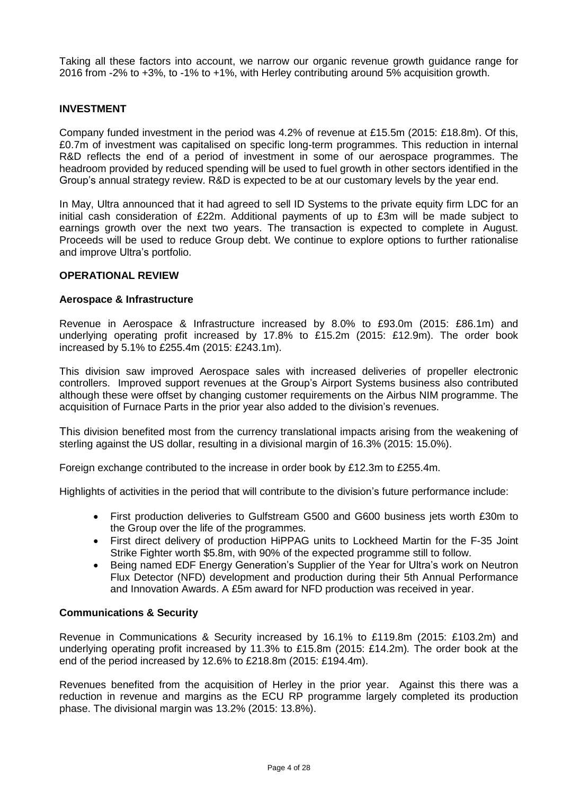Taking all these factors into account, we narrow our organic revenue growth guidance range for 2016 from -2% to +3%, to -1% to +1%, with Herley contributing around 5% acquisition growth.

### **INVESTMENT**

Company funded investment in the period was 4.2% of revenue at £15.5m (2015: £18.8m). Of this, £0.7m of investment was capitalised on specific long-term programmes. This reduction in internal R&D reflects the end of a period of investment in some of our aerospace programmes. The headroom provided by reduced spending will be used to fuel growth in other sectors identified in the Group's annual strategy review. R&D is expected to be at our customary levels by the year end.

In May, Ultra announced that it had agreed to sell ID Systems to the private equity firm LDC for an initial cash consideration of £22m. Additional payments of up to £3m will be made subject to earnings growth over the next two years. The transaction is expected to complete in August. Proceeds will be used to reduce Group debt. We continue to explore options to further rationalise and improve Ultra's portfolio.

### **OPERATIONAL REVIEW**

### **Aerospace & Infrastructure**

Revenue in Aerospace & Infrastructure increased by 8.0% to £93.0m (2015: £86.1m) and underlying operating profit increased by 17.8% to £15.2m (2015: £12.9m). The order book increased by 5.1% to £255.4m (2015: £243.1m).

This division saw improved Aerospace sales with increased deliveries of propeller electronic controllers. Improved support revenues at the Group's Airport Systems business also contributed although these were offset by changing customer requirements on the Airbus NIM programme. The acquisition of Furnace Parts in the prior year also added to the division's revenues.

This division benefited most from the currency translational impacts arising from the weakening of sterling against the US dollar, resulting in a divisional margin of 16.3% (2015: 15.0%).

Foreign exchange contributed to the increase in order book by £12.3m to £255.4m.

Highlights of activities in the period that will contribute to the division's future performance include:

- First production deliveries to Gulfstream G500 and G600 business jets worth £30m to the Group over the life of the programmes.
- First direct delivery of production HiPPAG units to Lockheed Martin for the F-35 Joint Strike Fighter worth \$5.8m, with 90% of the expected programme still to follow.
- Being named EDF Energy Generation's Supplier of the Year for Ultra's work on Neutron Flux Detector (NFD) development and production during their 5th Annual Performance and Innovation Awards. A £5m award for NFD production was received in year.

#### **Communications & Security**

Revenue in Communications & Security increased by 16.1% to £119.8m (2015: £103.2m) and underlying operating profit increased by 11.3% to £15.8m (2015: £14.2m)*.* The order book at the end of the period increased by 12.6% to £218.8m (2015: £194.4m).

Revenues benefited from the acquisition of Herley in the prior year. Against this there was a reduction in revenue and margins as the ECU RP programme largely completed its production phase. The divisional margin was 13.2% (2015: 13.8%).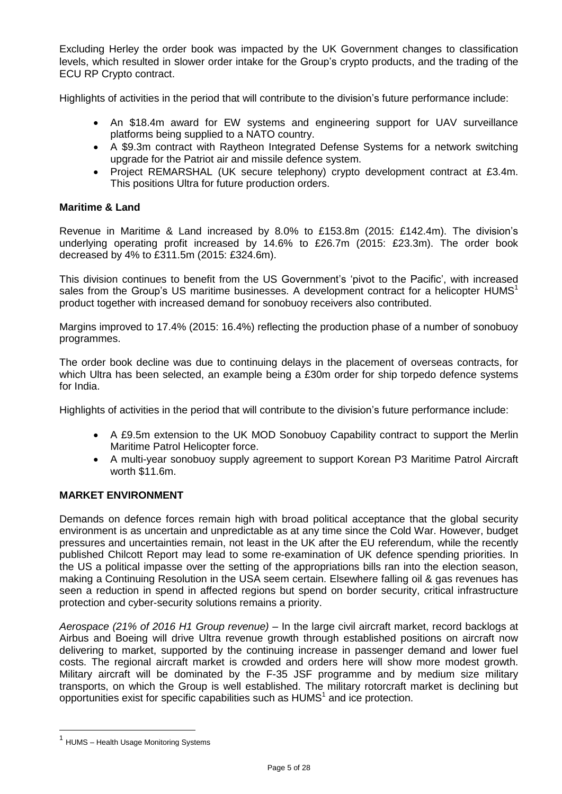Excluding Herley the order book was impacted by the UK Government changes to classification levels, which resulted in slower order intake for the Group's crypto products, and the trading of the ECU RP Crypto contract.

Highlights of activities in the period that will contribute to the division's future performance include:

- An \$18.4m award for EW systems and engineering support for UAV surveillance platforms being supplied to a NATO country.
- A \$9.3m contract with Raytheon Integrated Defense Systems for a network switching upgrade for the Patriot air and missile defence system.
- Project REMARSHAL (UK secure telephony) crypto development contract at £3.4m. This positions Ultra for future production orders.

### **Maritime & Land**

Revenue in Maritime & Land increased by 8.0% to £153.8m (2015: £142.4m). The division's underlying operating profit increased by 14.6% to £26.7m (2015: £23.3m). The order book decreased by 4% to £311.5m (2015: £324.6m).

This division continues to benefit from the US Government's 'pivot to the Pacific', with increased sales from the Group's US maritime businesses. A development contract for a helicopter HUMS<sup>1</sup> product together with increased demand for sonobuoy receivers also contributed.

Margins improved to 17.4% (2015: 16.4%) reflecting the production phase of a number of sonobuoy programmes.

The order book decline was due to continuing delays in the placement of overseas contracts, for which Ultra has been selected, an example being a £30m order for ship torpedo defence systems for India.

Highlights of activities in the period that will contribute to the division's future performance include:

- A £9.5m extension to the UK MOD Sonobuoy Capability contract to support the Merlin Maritime Patrol Helicopter force.
- A multi-year sonobuoy supply agreement to support Korean P3 Maritime Patrol Aircraft worth \$11.6m.

### **MARKET ENVIRONMENT**

Demands on defence forces remain high with broad political acceptance that the global security environment is as uncertain and unpredictable as at any time since the Cold War. However, budget pressures and uncertainties remain, not least in the UK after the EU referendum, while the recently published Chilcott Report may lead to some re-examination of UK defence spending priorities. In the US a political impasse over the setting of the appropriations bills ran into the election season, making a Continuing Resolution in the USA seem certain. Elsewhere falling oil & gas revenues has seen a reduction in spend in affected regions but spend on border security, critical infrastructure protection and cyber-security solutions remains a priority.

*Aerospace (21% of 2016 H1 Group revenue) –* In the large civil aircraft market, record backlogs at Airbus and Boeing will drive Ultra revenue growth through established positions on aircraft now delivering to market, supported by the continuing increase in passenger demand and lower fuel costs. The regional aircraft market is crowded and orders here will show more modest growth. Military aircraft will be dominated by the F-35 JSF programme and by medium size military transports, on which the Group is well established. The military rotorcraft market is declining but opportunities exist for specific capabilities such as  $HUMS<sup>1</sup>$  and ice protection.

-

<sup>&</sup>lt;sup>1</sup> HUMS – Health Usage Monitoring Systems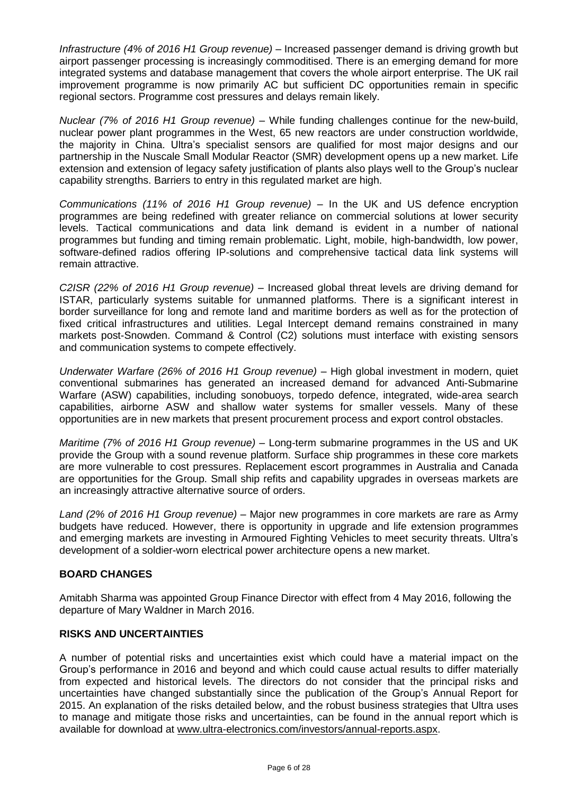*Infrastructure (4% of 2016 H1 Group revenue) –* Increased passenger demand is driving growth but airport passenger processing is increasingly commoditised. There is an emerging demand for more integrated systems and database management that covers the whole airport enterprise. The UK rail improvement programme is now primarily AC but sufficient DC opportunities remain in specific regional sectors. Programme cost pressures and delays remain likely.

*Nuclear (7% of 2016 H1 Group revenue) –* While funding challenges continue for the new-build, nuclear power plant programmes in the West, 65 new reactors are under construction worldwide, the majority in China. Ultra's specialist sensors are qualified for most major designs and our partnership in the Nuscale Small Modular Reactor (SMR) development opens up a new market. Life extension and extension of legacy safety justification of plants also plays well to the Group's nuclear capability strengths. Barriers to entry in this regulated market are high.

*Communications (11% of 2016 H1 Group revenue) –* In the UK and US defence encryption programmes are being redefined with greater reliance on commercial solutions at lower security levels. Tactical communications and data link demand is evident in a number of national programmes but funding and timing remain problematic. Light, mobile, high-bandwidth, low power, software-defined radios offering IP-solutions and comprehensive tactical data link systems will remain attractive.

*C2ISR (22% of 2016 H1 Group revenue) –* Increased global threat levels are driving demand for ISTAR, particularly systems suitable for unmanned platforms. There is a significant interest in border surveillance for long and remote land and maritime borders as well as for the protection of fixed critical infrastructures and utilities. Legal Intercept demand remains constrained in many markets post-Snowden. Command & Control (C2) solutions must interface with existing sensors and communication systems to compete effectively.

*Underwater Warfare (26% of 2016 H1 Group revenue) –* High global investment in modern, quiet conventional submarines has generated an increased demand for advanced Anti-Submarine Warfare (ASW) capabilities, including sonobuoys, torpedo defence, integrated, wide-area search capabilities, airborne ASW and shallow water systems for smaller vessels. Many of these opportunities are in new markets that present procurement process and export control obstacles.

*Maritime (7% of 2016 H1 Group revenue) –* Long-term submarine programmes in the US and UK provide the Group with a sound revenue platform. Surface ship programmes in these core markets are more vulnerable to cost pressures. Replacement escort programmes in Australia and Canada are opportunities for the Group. Small ship refits and capability upgrades in overseas markets are an increasingly attractive alternative source of orders.

*Land (2% of 2016 H1 Group revenue) –* Major new programmes in core markets are rare as Army budgets have reduced. However, there is opportunity in upgrade and life extension programmes and emerging markets are investing in Armoured Fighting Vehicles to meet security threats. Ultra's development of a soldier-worn electrical power architecture opens a new market.

### **BOARD CHANGES**

Amitabh Sharma was appointed Group Finance Director with effect from 4 May 2016, following the departure of Mary Waldner in March 2016.

### **RISKS AND UNCERTAINTIES**

A number of potential risks and uncertainties exist which could have a material impact on the Group's performance in 2016 and beyond and which could cause actual results to differ materially from expected and historical levels. The directors do not consider that the principal risks and uncertainties have changed substantially since the publication of the Group's Annual Report for 2015. An explanation of the risks detailed below, and the robust business strategies that Ultra uses to manage and mitigate those risks and uncertainties, can be found in the annual report which is available for download at [www.ultra-electronics.com/investors/annual-reports.aspx.](http://www.ultra-electronics.com/investors/annual-reports.aspx)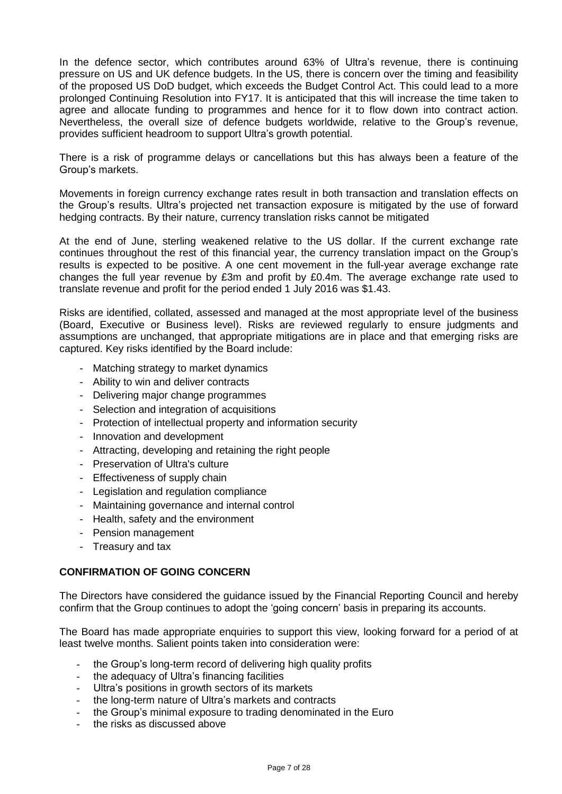In the defence sector, which contributes around 63% of Ultra's revenue, there is continuing pressure on US and UK defence budgets. In the US, there is concern over the timing and feasibility of the proposed US DoD budget, which exceeds the Budget Control Act. This could lead to a more prolonged Continuing Resolution into FY17. It is anticipated that this will increase the time taken to agree and allocate funding to programmes and hence for it to flow down into contract action. Nevertheless, the overall size of defence budgets worldwide, relative to the Group's revenue, provides sufficient headroom to support Ultra's growth potential.

There is a risk of programme delays or cancellations but this has always been a feature of the Group's markets.

Movements in foreign currency exchange rates result in both transaction and translation effects on the Group's results. Ultra's projected net transaction exposure is mitigated by the use of forward hedging contracts. By their nature, currency translation risks cannot be mitigated

At the end of June, sterling weakened relative to the US dollar. If the current exchange rate continues throughout the rest of this financial year, the currency translation impact on the Group's results is expected to be positive. A one cent movement in the full-year average exchange rate changes the full year revenue by £3m and profit by £0.4m. The average exchange rate used to translate revenue and profit for the period ended 1 July 2016 was \$1.43.

Risks are identified, collated, assessed and managed at the most appropriate level of the business (Board, Executive or Business level). Risks are reviewed regularly to ensure judgments and assumptions are unchanged, that appropriate mitigations are in place and that emerging risks are captured. Key risks identified by the Board include:

- Matching strategy to market dynamics
- Ability to win and deliver contracts
- Delivering major change programmes
- Selection and integration of acquisitions
- Protection of intellectual property and information security
- Innovation and development
- Attracting, developing and retaining the right people
- Preservation of Ultra's culture
- Effectiveness of supply chain
- Legislation and regulation compliance
- Maintaining governance and internal control
- Health, safety and the environment
- Pension management
- Treasury and tax

### **CONFIRMATION OF GOING CONCERN**

The Directors have considered the guidance issued by the Financial Reporting Council and hereby confirm that the Group continues to adopt the 'going concern' basis in preparing its accounts.

The Board has made appropriate enquiries to support this view, looking forward for a period of at least twelve months. Salient points taken into consideration were:

- the Group's long-term record of delivering high quality profits
- the adequacy of Ultra's financing facilities
- Ultra's positions in growth sectors of its markets
- the long-term nature of Ultra's markets and contracts
- the Group's minimal exposure to trading denominated in the Euro
- the risks as discussed above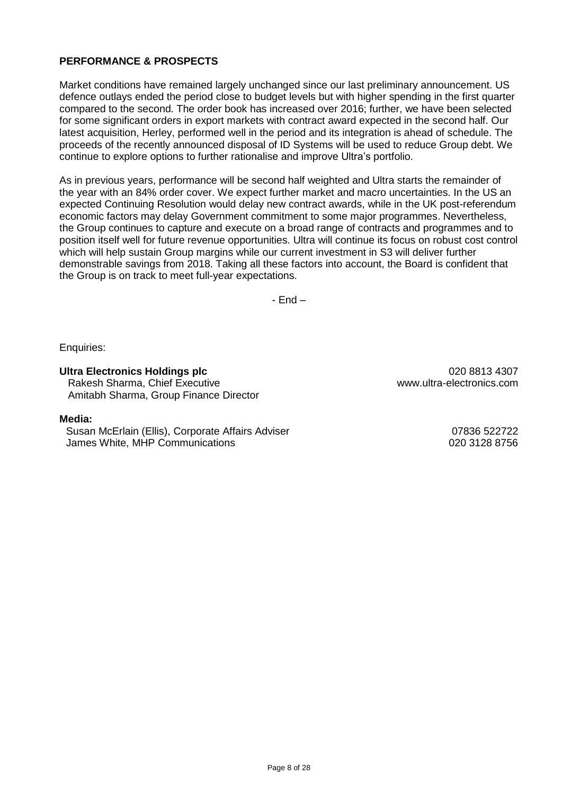### **PERFORMANCE & PROSPECTS**

Market conditions have remained largely unchanged since our last preliminary announcement. US defence outlays ended the period close to budget levels but with higher spending in the first quarter compared to the second. The order book has increased over 2016; further, we have been selected for some significant orders in export markets with contract award expected in the second half. Our latest acquisition, Herley, performed well in the period and its integration is ahead of schedule. The proceeds of the recently announced disposal of ID Systems will be used to reduce Group debt. We continue to explore options to further rationalise and improve Ultra's portfolio.

As in previous years, performance will be second half weighted and Ultra starts the remainder of the year with an 84% order cover. We expect further market and macro uncertainties. In the US an expected Continuing Resolution would delay new contract awards, while in the UK post-referendum economic factors may delay Government commitment to some major programmes. Nevertheless, the Group continues to capture and execute on a broad range of contracts and programmes and to position itself well for future revenue opportunities. Ultra will continue its focus on robust cost control which will help sustain Group margins while our current investment in S3 will deliver further demonstrable savings from 2018. Taking all these factors into account, the Board is confident that the Group is on track to meet full-year expectations.

- End –

Enquiries:

### **Ultra Electronics Holdings plc** 020 8813 4307

Rakesh Sharma, Chief Executive www.ultra-electronics.com Amitabh Sharma, Group Finance Director

### **Media:**

Susan McErlain (Ellis), Corporate Affairs Adviser 07836 522722 James White, MHP Communications 020 3128 8756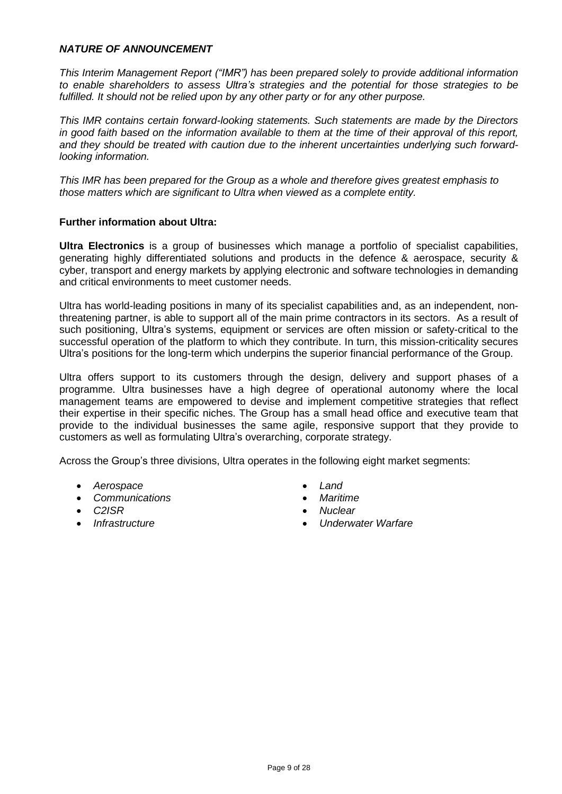### *NATURE OF ANNOUNCEMENT*

*This Interim Management Report ("IMR") has been prepared solely to provide additional information to enable shareholders to assess Ultra's strategies and the potential for those strategies to be fulfilled. It should not be relied upon by any other party or for any other purpose.*

*This IMR contains certain forward-looking statements. Such statements are made by the Directors* in good faith based on the information available to them at the time of their approval of this report, *and they should be treated with caution due to the inherent uncertainties underlying such forwardlooking information.*

*This IMR has been prepared for the Group as a whole and therefore gives greatest emphasis to those matters which are significant to Ultra when viewed as a complete entity.*

### **Further information about Ultra:**

**Ultra Electronics** is a group of businesses which manage a portfolio of specialist capabilities, generating highly differentiated solutions and products in the defence & aerospace, security & cyber, transport and energy markets by applying electronic and software technologies in demanding and critical environments to meet customer needs.

Ultra has world-leading positions in many of its specialist capabilities and, as an independent, nonthreatening partner, is able to support all of the main prime contractors in its sectors. As a result of such positioning, Ultra's systems, equipment or services are often mission or safety-critical to the successful operation of the platform to which they contribute. In turn, this mission-criticality secures Ultra's positions for the long-term which underpins the superior financial performance of the Group.

Ultra offers support to its customers through the design, delivery and support phases of a programme. Ultra businesses have a high degree of operational autonomy where the local management teams are empowered to devise and implement competitive strategies that reflect their expertise in their specific niches. The Group has a small head office and executive team that provide to the individual businesses the same agile, responsive support that they provide to customers as well as formulating Ultra's overarching, corporate strategy.

Across the Group's three divisions, Ultra operates in the following eight market segments:

- *Aerospace Land*
- *Communications Maritime*
- 
- 
- 
- 
- *C2ISR Nuclear*
- *Infrastructure Underwater Warfare*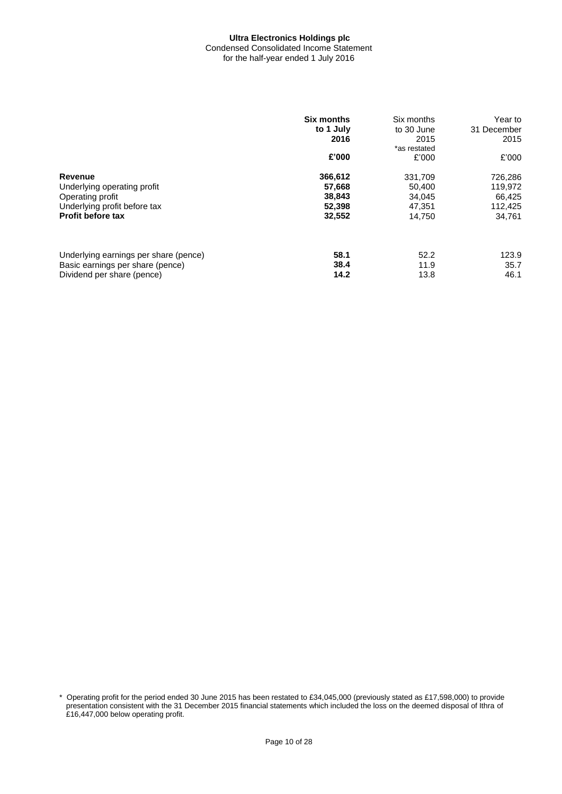#### **Ultra Electronics Holdings plc** Condensed Consolidated Income Statement for the half-year ended 1 July 2016

|                                       | <b>Six months</b><br>to 1 July<br>2016 | Six months<br>to 30 June<br>2015 | Year to<br>31 December<br>2015 |
|---------------------------------------|----------------------------------------|----------------------------------|--------------------------------|
|                                       | £'000                                  | *as restated<br>£'000            | £'000                          |
| Revenue                               | 366,612                                | 331,709                          | 726,286                        |
| Underlying operating profit           | 57,668                                 | 50,400                           | 119,972                        |
| Operating profit                      | 38,843                                 | 34,045                           | 66,425                         |
| Underlying profit before tax          | 52,398                                 | 47.351                           | 112,425                        |
| <b>Profit before tax</b>              | 32,552                                 | 14.750                           | 34,761                         |
| Underlying earnings per share (pence) | 58.1                                   | 52.2                             | 123.9                          |
| Basic earnings per share (pence)      | 38.4                                   | 11.9                             | 35.7                           |
| Dividend per share (pence)            | 14.2                                   | 13.8                             | 46.1                           |

\* Operating profit for the period ended 30 June 2015 has been restated to £34,045,000 (previously stated as £17,598,000) to provide presentation consistent with the 31 December 2015 financial statements which included the loss on the deemed disposal of Ithra of £16,447,000 below operating profit.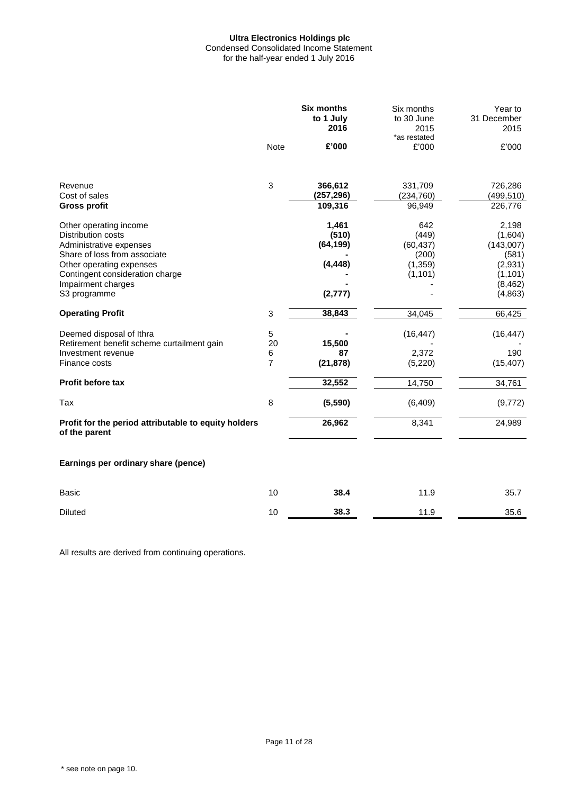### **Ultra Electronics Holdings plc** Condensed Consolidated Income Statement

for the half-year ended 1 July 2016

|                                                                       | <b>Six months</b><br>to 1 July<br>2016 |                       | Six months<br>to 30 June<br>2015<br>*as restated | Year to<br>31 December<br>2015 |
|-----------------------------------------------------------------------|----------------------------------------|-----------------------|--------------------------------------------------|--------------------------------|
|                                                                       | <b>Note</b>                            | £'000                 | £'000                                            | £'000                          |
| Revenue                                                               | 3                                      | 366,612               | 331,709                                          | 726,286                        |
| Cost of sales<br><b>Gross profit</b>                                  |                                        | (257, 296)<br>109,316 | (234, 760)<br>96,949                             | (499, 510)<br>226,776          |
| Other operating income                                                |                                        | 1,461                 | 642                                              | 2,198                          |
| <b>Distribution costs</b><br>Administrative expenses                  |                                        | (510)<br>(64, 199)    | (449)<br>(60, 437)                               | (1,604)<br>(143,007)           |
| Share of loss from associate                                          |                                        |                       | (200)                                            | (581)                          |
| Other operating expenses<br>Contingent consideration charge           |                                        | (4, 448)              | (1, 359)<br>(1, 101)                             | (2,931)<br>(1, 101)            |
| Impairment charges                                                    |                                        |                       |                                                  | (8, 462)                       |
| S3 programme                                                          |                                        | (2, 777)              |                                                  | (4, 863)                       |
| <b>Operating Profit</b>                                               | 3                                      | 38,843                | 34,045                                           | 66,425                         |
| Deemed disposal of Ithra                                              | 5                                      |                       | (16, 447)                                        | (16, 447)                      |
| Retirement benefit scheme curtailment gain<br>Investment revenue      | 20<br>6                                | 15,500<br>87          | 2,372                                            | 190                            |
| Finance costs                                                         | $\overline{7}$                         | (21, 878)             | (5, 220)                                         | (15, 407)                      |
| Profit before tax                                                     |                                        | 32,552                | 14,750                                           | 34,761                         |
| Tax                                                                   | 8                                      | (5,590)               | (6, 409)                                         | (9, 772)                       |
| Profit for the period attributable to equity holders<br>of the parent |                                        | 26,962                | 8,341                                            | 24,989                         |
| Earnings per ordinary share (pence)                                   |                                        |                       |                                                  |                                |
| <b>Basic</b>                                                          | 10                                     | 38.4                  | 11.9                                             | 35.7                           |
| <b>Diluted</b>                                                        | 10                                     | 38.3                  | 11.9                                             | 35.6                           |

All results are derived from continuing operations.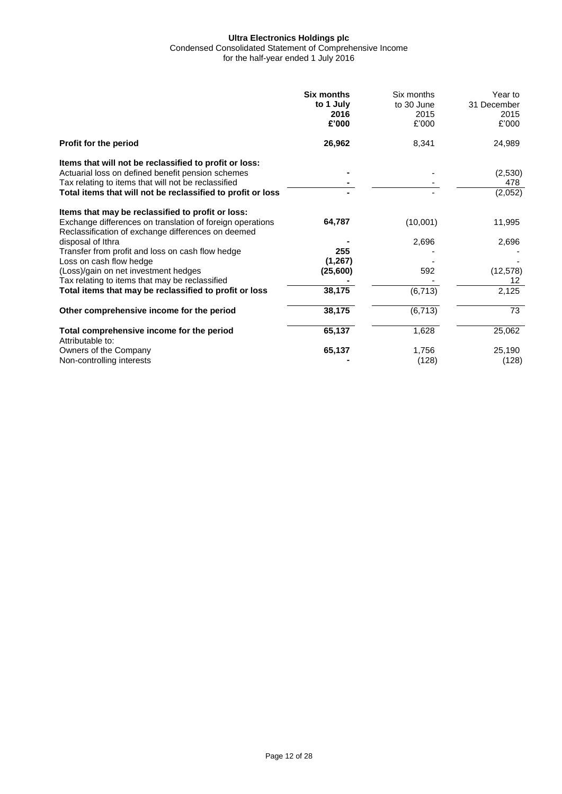Condensed Consolidated Statement of Comprehensive Income

for the half-year ended 1 July 2016

|                                                                                                                                                                                                                                   | <b>Six months</b><br>to 1 July<br>2016<br>£'000 | Six months<br>to 30 June<br>2015<br>£'000 | Year to<br>31 December<br>2015<br>£'000 |
|-----------------------------------------------------------------------------------------------------------------------------------------------------------------------------------------------------------------------------------|-------------------------------------------------|-------------------------------------------|-----------------------------------------|
| <b>Profit for the period</b>                                                                                                                                                                                                      | 26,962                                          | 8,341                                     | 24,989                                  |
| Items that will not be reclassified to profit or loss:<br>Actuarial loss on defined benefit pension schemes<br>Tax relating to items that will not be reclassified<br>Total items that will not be reclassified to profit or loss |                                                 |                                           | (2,530)<br>478<br>(2,052)               |
| Items that may be reclassified to profit or loss:<br>Exchange differences on translation of foreign operations<br>Reclassification of exchange differences on deemed                                                              | 64,787                                          | (10,001)                                  | 11,995                                  |
| disposal of Ithra<br>Transfer from profit and loss on cash flow hedge                                                                                                                                                             | 255                                             | 2,696                                     | 2,696                                   |
| Loss on cash flow hedge<br>(Loss)/gain on net investment hedges<br>Tax relating to items that may be reclassified                                                                                                                 | (1, 267)<br>(25,600)                            | 592                                       | (12, 578)<br>12                         |
| Total items that may be reclassified to profit or loss                                                                                                                                                                            | 38,175                                          | (6, 713)                                  | 2,125                                   |
| Other comprehensive income for the period                                                                                                                                                                                         | 38,175                                          | (6, 713)                                  | 73                                      |
| Total comprehensive income for the period<br>Attributable to:                                                                                                                                                                     | 65,137                                          | 1,628                                     | 25,062                                  |
| Owners of the Company<br>Non-controlling interests                                                                                                                                                                                | 65,137                                          | 1,756<br>(128)                            | 25,190<br>(128)                         |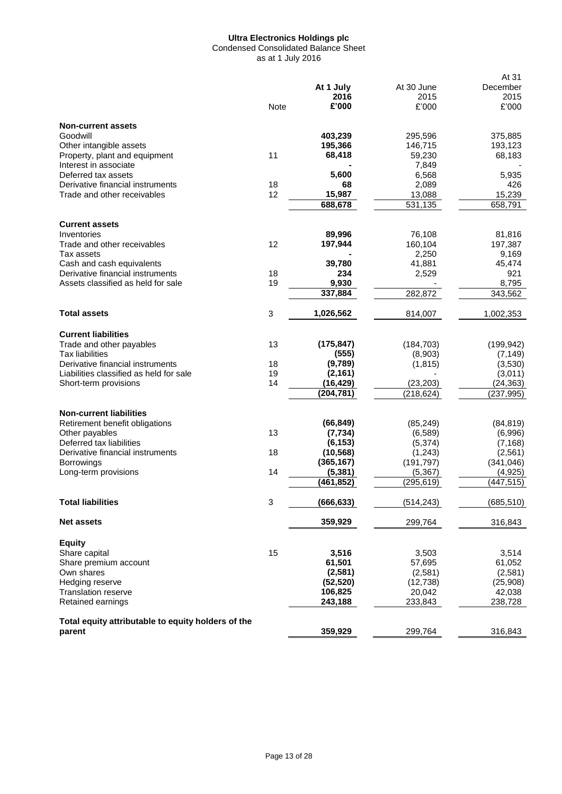Condensed Consolidated Balance Sheet as at 1 July 2016

|                                                                        |                           |                         |                        | At 31                 |
|------------------------------------------------------------------------|---------------------------|-------------------------|------------------------|-----------------------|
|                                                                        |                           | At 1 July               | At 30 June             | December              |
|                                                                        |                           | 2016                    | 2015                   | 2015                  |
|                                                                        | <b>Note</b>               | £'000                   | £'000                  | £'000                 |
| <b>Non-current assets</b>                                              |                           |                         |                        |                       |
| Goodwill                                                               |                           | 403,239                 | 295,596                | 375,885               |
| Other intangible assets                                                |                           | 195,366                 | 146,715                | 193,123               |
| Property, plant and equipment                                          | 11                        | 68,418                  | 59,230                 | 68,183                |
| Interest in associate                                                  |                           |                         | 7,849                  |                       |
| Deferred tax assets                                                    |                           | 5,600                   | 6,568                  | 5,935                 |
| Derivative financial instruments                                       | 18                        | 68                      | 2,089                  | 426                   |
| Trade and other receivables                                            | 12                        | 15,987                  | 13,088                 | 15,239                |
|                                                                        |                           | 688,678                 | 531,135                | 658,791               |
| <b>Current assets</b>                                                  |                           |                         |                        |                       |
| Inventories                                                            |                           | 89,996                  | 76,108                 | 81,816                |
| Trade and other receivables                                            | 12                        | 197,944                 | 160,104                | 197,387               |
| Tax assets                                                             |                           |                         | 2,250                  | 9,169                 |
| Cash and cash equivalents                                              |                           | 39,780                  | 41,881                 | 45,474                |
| Derivative financial instruments<br>Assets classified as held for sale | 18                        | 234<br>9,930            | 2,529                  | 921<br>8.795          |
|                                                                        | 19                        | 337,884                 | 282,872                | 343,562               |
|                                                                        |                           |                         |                        |                       |
| <b>Total assets</b>                                                    | 3                         | 1,026,562               | 814,007                | 1,002,353             |
| <b>Current liabilities</b>                                             |                           |                         |                        |                       |
| Trade and other payables                                               | 13                        | (175, 847)              | (184, 703)             | (199, 942)            |
| Tax liabilities                                                        |                           | (555)                   | (8,903)                | (7, 149)              |
| Derivative financial instruments                                       | 18                        | (9,789)                 | (1, 815)               | (3,530)               |
| Liabilities classified as held for sale                                | 19                        | (2, 161)                |                        | (3,011)               |
| Short-term provisions                                                  | 14                        | (16,429)                | (23, 203)              | (24, 363)             |
|                                                                        |                           | (204, 781)              | (218, 624)             | (237,995)             |
| <b>Non-current liabilities</b>                                         |                           |                         |                        |                       |
| Retirement benefit obligations                                         |                           | (66, 849)               | (85, 249)              | (84, 819)             |
| Other payables                                                         | 13                        | (7, 734)                | (6,589)                | (6,996)               |
| Deferred tax liabilities                                               |                           | (6, 153)                | (5,374)                | (7, 168)              |
| Derivative financial instruments<br><b>Borrowings</b>                  | 18                        | (10, 568)<br>(365, 167) | (1, 243)<br>(191, 797) | (2,561)<br>(341, 046) |
| Long-term provisions                                                   | 14                        | (5, 381)                | (5, 367)               | (4, 925)              |
|                                                                        |                           | (461,852)               | (295, 619)             | (447,515)             |
| <b>Total liabilities</b>                                               | $\ensuremath{\mathsf{3}}$ | (666, 633)              | (514, 243)             | (685, 510)            |
|                                                                        |                           |                         |                        |                       |
| <b>Net assets</b>                                                      |                           | 359,929                 | 299,764                | 316,843               |
| <b>Equity</b>                                                          |                           |                         |                        |                       |
| Share capital                                                          | 15                        | 3,516                   | 3,503                  | 3,514                 |
| Share premium account                                                  |                           | 61,501                  | 57,695                 | 61,052                |
| Own shares                                                             |                           | (2, 581)                | (2,581)                | (2,581)               |
| Hedging reserve<br><b>Translation reserve</b>                          |                           | (52, 520)               | (12, 738)              | (25,908)              |
| Retained earnings                                                      |                           | 106,825<br>243,188      | 20,042                 | 42,038                |
|                                                                        |                           |                         | 233,843                | 238,728               |
| Total equity attributable to equity holders of the                     |                           |                         |                        |                       |
| parent                                                                 |                           | 359,929                 | 299,764                | 316,843               |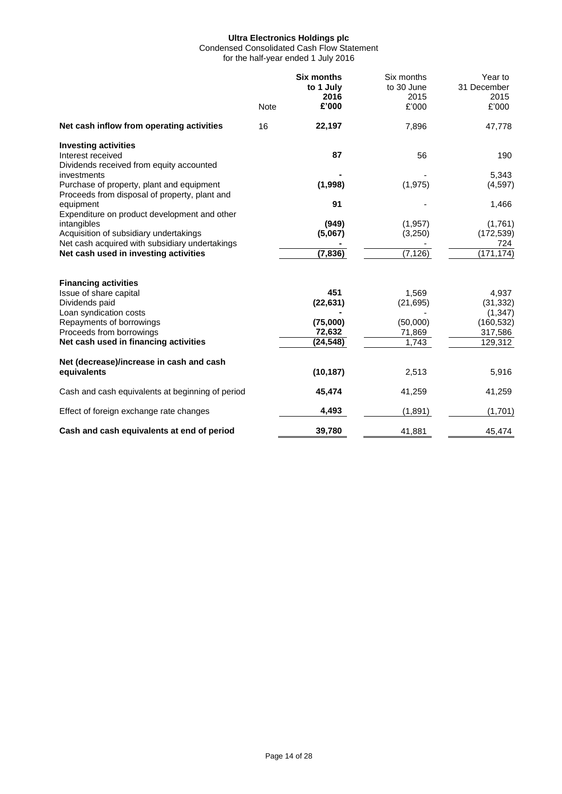Condensed Consolidated Cash Flow Statement for the half-year ended 1 July 2016

|                                                                                                                                                                                                    | Note | <b>Six months</b><br>to 1 July<br>2016<br>£'000    | Six months<br>to 30 June<br>2015<br>£'000         | Year to<br>31 December<br>2015<br>£'000                            |
|----------------------------------------------------------------------------------------------------------------------------------------------------------------------------------------------------|------|----------------------------------------------------|---------------------------------------------------|--------------------------------------------------------------------|
| Net cash inflow from operating activities                                                                                                                                                          | 16   | 22,197                                             | 7,896                                             | 47,778                                                             |
| <b>Investing activities</b><br>Interest received<br>Dividends received from equity accounted                                                                                                       |      | 87                                                 | 56                                                | 190                                                                |
| investments<br>Purchase of property, plant and equipment<br>Proceeds from disposal of property, plant and                                                                                          |      | (1,998)                                            | (1, 975)                                          | 5,343<br>(4,597)                                                   |
| equipment                                                                                                                                                                                          |      | 91                                                 |                                                   | 1,466                                                              |
| Expenditure on product development and other<br>intangibles<br>Acquisition of subsidiary undertakings<br>Net cash acquired with subsidiary undertakings<br>Net cash used in investing activities   |      | (949)<br>(5,067)<br>(7, 836)                       | (1, 957)<br>(3,250)<br>(7, 126)                   | (1,761)<br>(172, 539)<br>724<br>(171, 174)                         |
| <b>Financing activities</b><br>Issue of share capital<br>Dividends paid<br>Loan syndication costs<br>Repayments of borrowings<br>Proceeds from borrowings<br>Net cash used in financing activities |      | 451<br>(22, 631)<br>(75,000)<br>72,632<br>(24,548) | 1,569<br>(21, 695)<br>(50,000)<br>71,869<br>1,743 | 4,937<br>(31, 332)<br>(1, 347)<br>(160, 532)<br>317,586<br>129,312 |
| Net (decrease)/increase in cash and cash<br>equivalents                                                                                                                                            |      | (10, 187)                                          | 2,513                                             | 5,916                                                              |
| Cash and cash equivalents at beginning of period                                                                                                                                                   |      | 45,474                                             | 41,259                                            | 41,259                                                             |
| Effect of foreign exchange rate changes                                                                                                                                                            |      | 4,493                                              | (1, 891)                                          | (1,701)                                                            |
| Cash and cash equivalents at end of period                                                                                                                                                         |      | 39.780                                             | 41,881                                            | 45,474                                                             |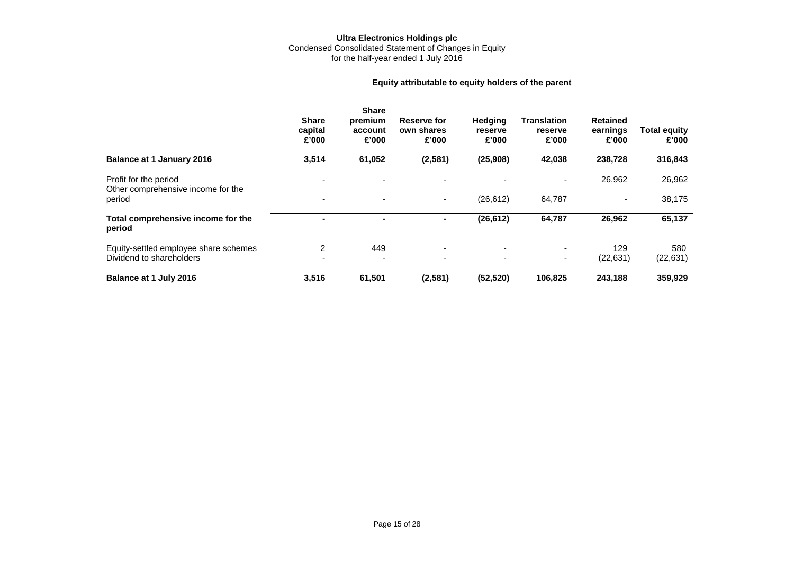#### **Ultra Electronics Holdings plc** Condensed Consolidated Statement of Changes in Equity for the half-year ended 1 July 2016

### **Equity attributable to equity holders of the parent**

|                                                             | <b>Share</b><br>capital<br>£'000 | <b>Share</b><br>premium<br>account<br>£'000 | Reserve for<br>own shares<br>£'000 | <b>Hedging</b><br>reserve<br>£'000 | <b>Translation</b><br>reserve<br>£'000 | <b>Retained</b><br>earnings<br>£'000 | <b>Total equity</b><br>£'000 |
|-------------------------------------------------------------|----------------------------------|---------------------------------------------|------------------------------------|------------------------------------|----------------------------------------|--------------------------------------|------------------------------|
| <b>Balance at 1 January 2016</b>                            | 3,514                            | 61,052                                      | (2,581)                            | (25,908)                           | 42,038                                 | 238,728                              | 316,843                      |
| Profit for the period<br>Other comprehensive income for the |                                  |                                             |                                    |                                    | ۰                                      | 26,962                               | 26,962                       |
| period                                                      | $\overline{a}$                   | $\overline{\phantom{0}}$                    | ۰.                                 | (26, 612)                          | 64,787                                 |                                      | 38,175                       |
| Total comprehensive income for the<br>period                |                                  |                                             | ۰.                                 | (26, 612)                          | 64,787                                 | 26,962                               | 65,137                       |
| Equity-settled employee share schemes                       | 2                                | 449                                         | ۰.                                 | ٠                                  | ٠                                      | 129                                  | 580                          |
| Dividend to shareholders                                    |                                  |                                             | $\overline{\phantom{0}}$           | $\overline{\phantom{0}}$           | ٠                                      | (22, 631)                            | (22, 631)                    |
| Balance at 1 July 2016                                      | 3,516                            | 61,501                                      | (2,581)                            | (52, 520)                          | 106,825                                | 243,188                              | 359,929                      |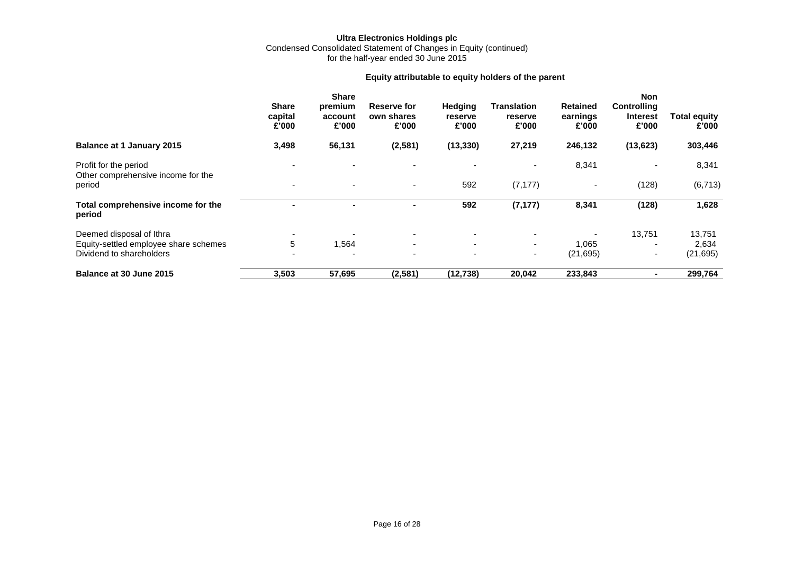Condensed Consolidated Statement of Changes in Equity (continued) for the half-year ended 30 June 2015

### **Equity attributable to equity holders of the parent**

|                                                             | <b>Share</b><br>capital<br>£'000 | <b>Share</b><br>premium<br>account<br>£'000 | <b>Reserve for</b><br>own shares<br>£'000 | Hedging<br>reserve<br>£'000 | <b>Translation</b><br>reserve<br>£'000 | <b>Retained</b><br>earnings<br>£'000 | Non<br><b>Controlling</b><br><b>Interest</b><br>£'000 | <b>Total equity</b><br>£'000 |
|-------------------------------------------------------------|----------------------------------|---------------------------------------------|-------------------------------------------|-----------------------------|----------------------------------------|--------------------------------------|-------------------------------------------------------|------------------------------|
| <b>Balance at 1 January 2015</b>                            | 3,498                            | 56,131                                      | (2,581)                                   | (13, 330)                   | 27,219                                 | 246,132                              | (13, 623)                                             | 303,446                      |
| Profit for the period<br>Other comprehensive income for the |                                  |                                             |                                           |                             |                                        | 8,341                                | $\overline{\phantom{a}}$                              | 8,341                        |
| period                                                      |                                  |                                             | ٠                                         | 592                         | (7, 177)                               | $\overline{\phantom{0}}$             | (128)                                                 | (6, 713)                     |
| Total comprehensive income for the<br>period                |                                  |                                             |                                           | 592                         | (7, 177)                               | 8,341                                | (128)                                                 | 1,628                        |
| Deemed disposal of Ithra                                    |                                  |                                             | ۰.                                        | $\overline{\phantom{0}}$    | $\overline{\phantom{0}}$               |                                      | 13,751                                                | 13,751                       |
| Equity-settled employee share schemes                       | 5                                | 1,564                                       | $\sim$                                    | $\overline{\phantom{0}}$    | $\sim$                                 | 1,065                                | $\overline{\phantom{a}}$                              | 2,634                        |
| Dividend to shareholders                                    |                                  |                                             | $\overline{\phantom{0}}$                  | $\overline{\phantom{0}}$    | ۰.                                     | (21, 695)                            | ۰                                                     | (21, 695)                    |
| Balance at 30 June 2015                                     | 3,503                            | 57,695                                      | (2,581)                                   | (12, 738)                   | 20,042                                 | 233,843                              |                                                       | 299,764                      |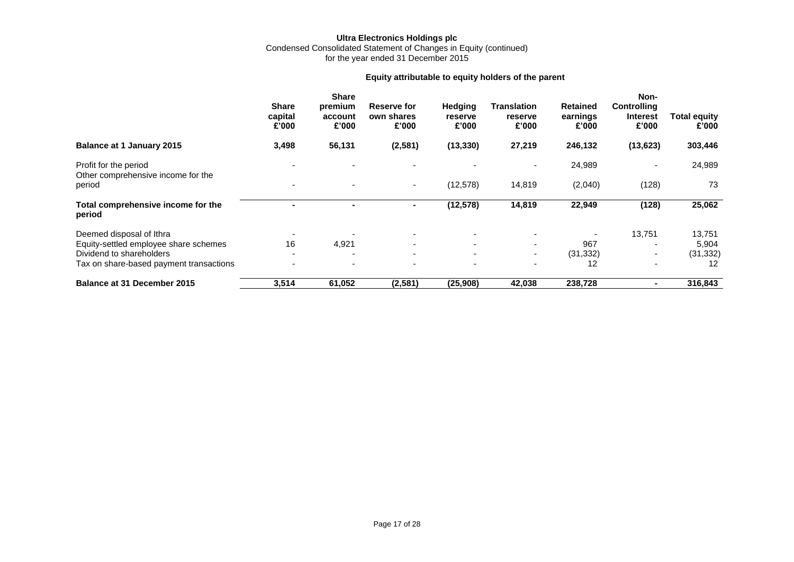#### **Ultra Electronics Holdings plc** Condensed Consolidated Statement of Changes in Equity (continued) for the year ended 31 December 2015

### **Equity attributable to equity holders of the parent**

|                                                             | <b>Share</b><br>capital<br>£'000 | <b>Share</b><br>premium<br>account<br>£'000 | Reserve for<br>own shares<br>£'000 | Hedging<br>reserve<br>£'000 | <b>Translation</b><br>reserve<br>£'000 | <b>Retained</b><br>earnings<br>£'000 | Non-<br><b>Controlling</b><br><b>Interest</b><br>£'000 | <b>Total equity</b><br>£'000 |
|-------------------------------------------------------------|----------------------------------|---------------------------------------------|------------------------------------|-----------------------------|----------------------------------------|--------------------------------------|--------------------------------------------------------|------------------------------|
| <b>Balance at 1 January 2015</b>                            | 3,498                            | 56,131                                      | (2,581)                            | (13, 330)                   | 27,219                                 | 246,132                              | (13, 623)                                              | 303,446                      |
| Profit for the period<br>Other comprehensive income for the |                                  |                                             |                                    |                             |                                        | 24,989                               |                                                        | 24,989                       |
| period                                                      |                                  |                                             | $\sim$                             | (12, 578)                   | 14,819                                 | (2,040)                              | (128)                                                  | 73                           |
| Total comprehensive income for the<br>period                |                                  | $\blacksquare$                              | ۰.                                 | (12, 578)                   | 14,819                                 | 22,949                               | (128)                                                  | 25,062                       |
| Deemed disposal of Ithra                                    |                                  |                                             |                                    |                             |                                        |                                      | 13,751                                                 | 13,751                       |
| Equity-settled employee share schemes                       | 16                               | 4,921                                       | $\overline{\phantom{0}}$           | ٠                           | ٠                                      | 967                                  |                                                        | 5,904                        |
| Dividend to shareholders                                    |                                  |                                             | $\overline{\phantom{0}}$           | $\overline{\phantom{0}}$    | $\sim$                                 | (31, 332)                            |                                                        | (31, 332)                    |
| Tax on share-based payment transactions                     |                                  |                                             |                                    |                             |                                        | 12                                   |                                                        | 12                           |
| <b>Balance at 31 December 2015</b>                          | 3,514                            | 61,052                                      | (2, 581)                           | (25, 908)                   | 42,038                                 | 238,728                              |                                                        | 316,843                      |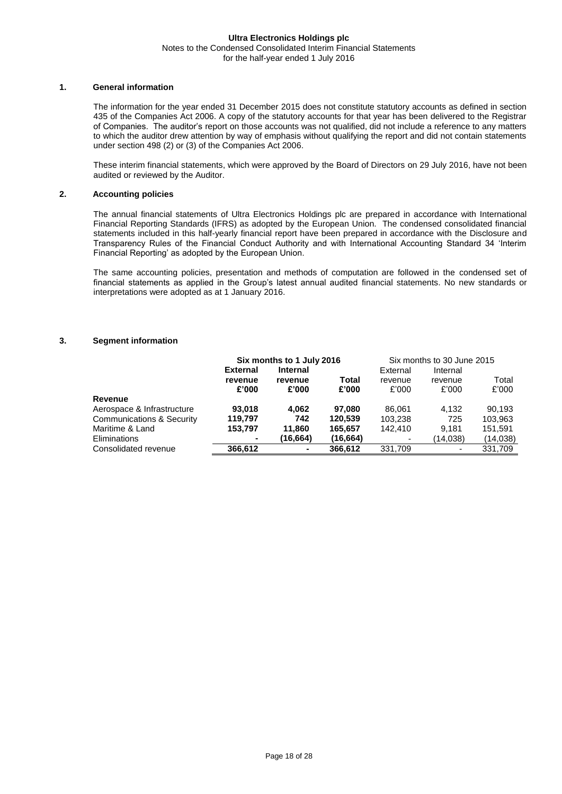#### **Ultra Electronics Holdings plc** Notes to the Condensed Consolidated Interim Financial Statements for the half-year ended 1 July 2016

#### **1. General information**

The information for the year ended 31 December 2015 does not constitute statutory accounts as defined in section 435 of the Companies Act 2006. A copy of the statutory accounts for that year has been delivered to the Registrar of Companies. The auditor's report on those accounts was not qualified, did not include a reference to any matters to which the auditor drew attention by way of emphasis without qualifying the report and did not contain statements under section 498 (2) or (3) of the Companies Act 2006.

These interim financial statements, which were approved by the Board of Directors on 29 July 2016, have not been audited or reviewed by the Auditor.

#### **2. Accounting policies**

The annual financial statements of Ultra Electronics Holdings plc are prepared in accordance with International Financial Reporting Standards (IFRS) as adopted by the European Union. The condensed consolidated financial statements included in this half-yearly financial report have been prepared in accordance with the Disclosure and Transparency Rules of the Financial Conduct Authority and with International Accounting Standard 34 'Interim Financial Reporting' as adopted by the European Union.

The same accounting policies, presentation and methods of computation are followed in the condensed set of financial statements as applied in the Group's latest annual audited financial statements. No new standards or interpretations were adopted as at 1 January 2016.

#### **3. Segment information**

|                                      |                 | Six months to 1 July 2016 |           | Six months to 30 June 2015 |                          |          |  |
|--------------------------------------|-----------------|---------------------------|-----------|----------------------------|--------------------------|----------|--|
|                                      | <b>External</b> | <b>Internal</b>           |           | External                   | Internal                 |          |  |
|                                      | revenue         | revenue                   | Total     | revenue                    | revenue                  | Total    |  |
|                                      | £'000           | £'000                     | £'000     | £'000                      | £'000                    | £'000    |  |
| Revenue                              |                 |                           |           |                            |                          |          |  |
| Aerospace & Infrastructure           | 93.018          | 4.062                     | 97.080    | 86.061                     | 4.132                    | 90.193   |  |
| <b>Communications &amp; Security</b> | 119.797         | 742                       | 120.539   | 103.238                    | 725                      | 103.963  |  |
| Maritime & Land                      | 153,797         | 11,860                    | 165,657   | 142.410                    | 9.181                    | 151,591  |  |
| Eliminations                         |                 | (16.664)                  | (16, 664) |                            | (14,038)                 | (14,038) |  |
| Consolidated revenue                 | 366.612         |                           | 366,612   | 331,709                    | $\overline{\phantom{a}}$ | 331,709  |  |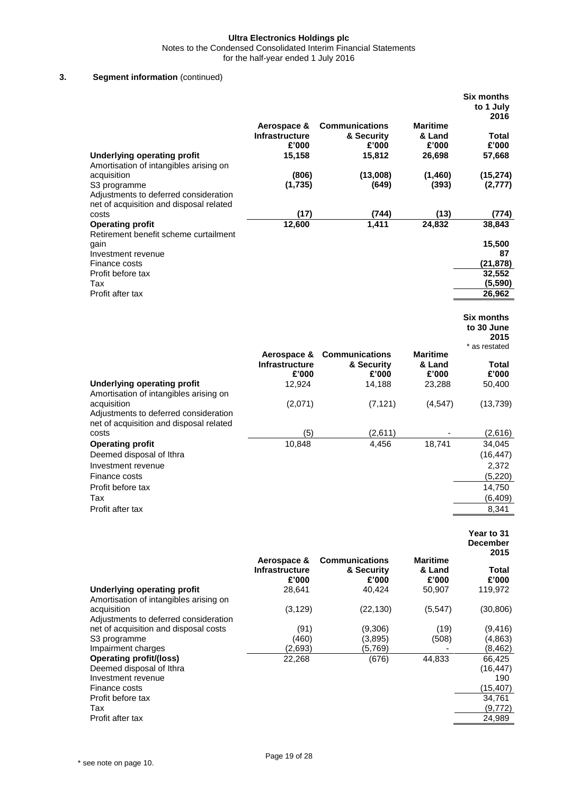Notes to the Condensed Consolidated Interim Financial Statements

for the half-year ended 1 July 2016

### **3. Segment information** (continued)

|                                                                                                                                            |                                                         |                                                                        |                                              | <b>Six months</b><br>to 1 July<br>2016                                 |
|--------------------------------------------------------------------------------------------------------------------------------------------|---------------------------------------------------------|------------------------------------------------------------------------|----------------------------------------------|------------------------------------------------------------------------|
| <b>Underlying operating profit</b><br>Amortisation of intangibles arising on                                                               | Aerospace &<br><b>Infrastructure</b><br>£'000<br>15,158 | <b>Communications</b><br>& Security<br>£'000<br>15,812                 | <b>Maritime</b><br>& Land<br>£'000<br>26,698 | Total<br>£'000<br>57,668                                               |
| acquisition<br>S3 programme<br>Adjustments to deferred consideration<br>net of acquisition and disposal related                            | (806)<br>(1,735)                                        | (13,008)<br>(649)                                                      | (1,460)<br>(393)                             | (15, 274)<br>(2, 777)                                                  |
| costs                                                                                                                                      | (17)                                                    | (744)                                                                  | (13)                                         | (774)                                                                  |
| <b>Operating profit</b>                                                                                                                    | 12,600                                                  | 1,411                                                                  | 24,832                                       | 38,843                                                                 |
| Retirement benefit scheme curtailment<br>gain<br>Investment revenue<br>Finance costs<br>Profit before tax<br>Tax<br>Profit after tax       |                                                         |                                                                        |                                              | 15,500<br>87<br>(21, 878)<br>32,552<br>(5,590)<br>26,962               |
|                                                                                                                                            |                                                         |                                                                        |                                              | <b>Six months</b>                                                      |
|                                                                                                                                            |                                                         |                                                                        |                                              | to 30 June<br>2015                                                     |
| <b>Underlying operating profit</b>                                                                                                         | <b>Infrastructure</b><br>£'000<br>12,924                | <b>Aerospace &amp; Communications</b><br>& Security<br>£'000<br>14,188 | <b>Maritime</b><br>& Land<br>£'000<br>23,288 | * as restated<br>Total<br>£'000<br>50,400                              |
| Amortisation of intangibles arising on<br>acquisition<br>Adjustments to deferred consideration                                             | (2,071)                                                 | (7, 121)                                                               | (4, 547)                                     | (13, 739)                                                              |
| net of acquisition and disposal related<br>costs                                                                                           | (5)                                                     | (2,611)                                                                |                                              | (2,616)                                                                |
| <b>Operating profit</b><br>Deemed disposal of Ithra<br>Investment revenue<br>Finance costs<br>Profit before tax<br>Tax<br>Profit after tax | 10,848                                                  | 4.456                                                                  | 18,741                                       | 34,045<br>(16, 447)<br>2,372<br>(5,220)<br>14,750<br>(6, 409)<br>8,341 |

**Year to 31 December** 

|                                        | Aerospace &                    | <b>Communications</b> | <b>Maritime</b> | 2015           |
|----------------------------------------|--------------------------------|-----------------------|-----------------|----------------|
|                                        | <b>Infrastructure</b><br>£'000 | & Security<br>£'000   | & Land<br>£'000 | Total<br>£'000 |
| Underlying operating profit            | 28,641                         | 40,424                | 50,907          | 119,972        |
| Amortisation of intangibles arising on |                                |                       |                 |                |
| acquisition                            | (3, 129)                       | (22, 130)             | (5, 547)        | (30, 806)      |
| Adjustments to deferred consideration  |                                |                       |                 |                |
| net of acquisition and disposal costs  | (91)                           | (9,306)               | (19)            | (9,416)        |
| S <sub>3</sub> programme               | (460)                          | (3,895)               | (508)           | (4,863)        |
| Impairment charges                     | (2,693)                        | (5,769)               |                 | (8, 462)       |
| <b>Operating profit/(loss)</b>         | 22,268                         | (676)                 | 44,833          | 66,425         |
| Deemed disposal of Ithra               |                                |                       |                 | (16,447)       |
| Investment revenue                     |                                |                       |                 | 190            |
| Finance costs                          |                                |                       |                 | (15,407)       |
| Profit before tax                      |                                |                       |                 | 34,761         |
| Tax                                    |                                |                       |                 | (9,772)        |
| Profit after tax                       |                                |                       |                 | 24,989         |
|                                        |                                |                       |                 |                |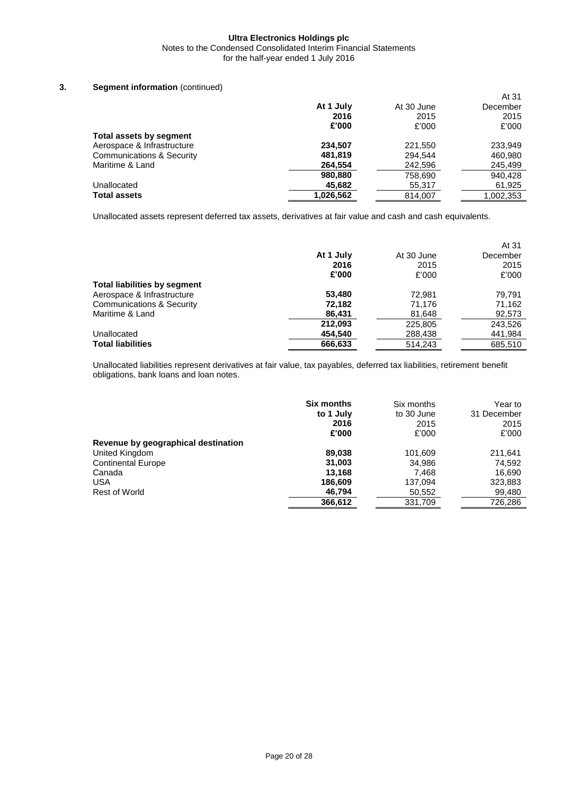Notes to the Condensed Consolidated Interim Financial Statements for the half-year ended 1 July 2016

### **3. Segment information** (continued)

|                                |           |            | At 31     |
|--------------------------------|-----------|------------|-----------|
|                                | At 1 July | At 30 June | December  |
|                                | 2016      | 2015       | 2015      |
|                                | £'000     | £'000      | £'000     |
| <b>Total assets by segment</b> |           |            |           |
| Aerospace & Infrastructure     | 234,507   | 221.550    | 233.949   |
| Communications & Security      | 481,819   | 294.544    | 460,980   |
| Maritime & Land                | 264,554   | 242,596    | 245,499   |
|                                | 980,880   | 758,690    | 940.428   |
| Unallocated                    | 45,682    | 55,317     | 61,925    |
| <b>Total assets</b>            | 1,026,562 | 814,007    | 1,002,353 |

Unallocated assets represent deferred tax assets, derivatives at fair value and cash and cash equivalents.

|                                     |           |            | At 31    |
|-------------------------------------|-----------|------------|----------|
|                                     | At 1 July | At 30 June | December |
|                                     | 2016      | 2015       | 2015     |
|                                     | £'000     | £'000      | £'000    |
| <b>Total liabilities by segment</b> |           |            |          |
| Aerospace & Infrastructure          | 53,480    | 72.981     | 79.791   |
| Communications & Security           | 72,182    | 71.176     | 71,162   |
| Maritime & Land                     | 86,431    | 81,648     | 92,573   |
|                                     | 212,093   | 225,805    | 243,526  |
| Unallocated                         | 454,540   | 288,438    | 441,984  |
| <b>Total liabilities</b>            | 666.633   | 514.243    | 685.510  |

Unallocated liabilities represent derivatives at fair value, tax payables, deferred tax liabilities, retirement benefit obligations, bank loans and loan notes.

|                                     | <b>Six months</b> | Six months | Year to     |
|-------------------------------------|-------------------|------------|-------------|
|                                     | to 1 July         | to 30 June | 31 December |
|                                     | 2016              | 2015       | 2015        |
|                                     | £'000             | £'000      | £'000       |
| Revenue by geographical destination |                   |            |             |
| United Kingdom                      | 89,038            | 101,609    | 211.641     |
| <b>Continental Europe</b>           | 31,003            | 34.986     | 74,592      |
| Canada                              | 13.168            | 7,468      | 16,690      |
| <b>USA</b>                          | 186,609           | 137.094    | 323,883     |
| <b>Rest of World</b>                | 46,794            | 50,552     | 99,480      |
|                                     | 366,612           | 331,709    | 726,286     |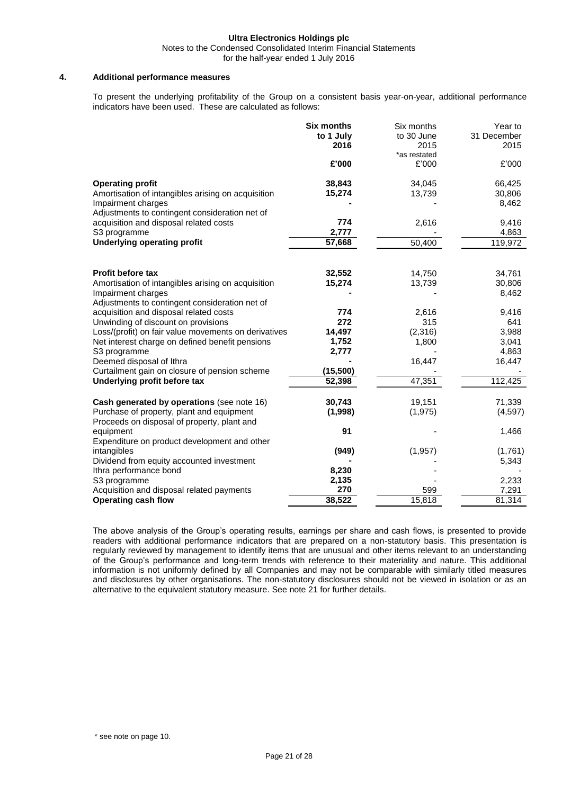Notes to the Condensed Consolidated Interim Financial Statements

for the half-year ended 1 July 2016

#### **4. Additional performance measures**

To present the underlying profitability of the Group on a consistent basis year-on-year, additional performance indicators have been used. These are calculated as follows:

|                                                                                          | <b>Six months</b> | Six months   | Year to     |
|------------------------------------------------------------------------------------------|-------------------|--------------|-------------|
|                                                                                          | to 1 July         | to 30 June   | 31 December |
|                                                                                          | 2016              | 2015         | 2015        |
|                                                                                          |                   | *as restated |             |
|                                                                                          | £'000             | £'000        | £'000       |
| <b>Operating profit</b>                                                                  | 38,843            | 34,045       | 66,425      |
| Amortisation of intangibles arising on acquisition                                       | 15,274            | 13,739       | 30,806      |
| Impairment charges                                                                       |                   |              | 8,462       |
| Adjustments to contingent consideration net of                                           |                   |              |             |
| acquisition and disposal related costs                                                   | 774               | 2,616        | 9,416       |
| S3 programme                                                                             | 2,777             |              | 4,863       |
| <b>Underlying operating profit</b>                                                       | 57,668            | 50,400       | 119,972     |
|                                                                                          |                   |              |             |
| <b>Profit before tax</b>                                                                 | 32,552            | 14,750       | 34,761      |
| Amortisation of intangibles arising on acquisition                                       | 15,274            | 13,739       | 30,806      |
| Impairment charges                                                                       |                   |              | 8,462       |
| Adjustments to contingent consideration net of                                           |                   |              |             |
| acquisition and disposal related costs                                                   | 774               | 2,616        | 9,416       |
| Unwinding of discount on provisions                                                      | 272               | 315          | 641         |
| Loss/(profit) on fair value movements on derivatives                                     | 14,497            | (2,316)      | 3,988       |
| Net interest charge on defined benefit pensions                                          | 1,752             | 1,800        | 3,041       |
| S3 programme                                                                             | 2,777             |              | 4,863       |
| Deemed disposal of Ithra                                                                 |                   | 16,447       | 16,447      |
| Curtailment gain on closure of pension scheme                                            | (15, 500)         |              |             |
| Underlying profit before tax                                                             | 52,398            | 47,351       | 112,425     |
| Cash generated by operations (see note 16)                                               | 30,743            | 19,151       | 71,339      |
| Purchase of property, plant and equipment<br>Proceeds on disposal of property, plant and | (1,998)           | (1, 975)     | (4, 597)    |
| equipment                                                                                | 91                |              | 1,466       |
| Expenditure on product development and other                                             |                   |              |             |
| intangibles                                                                              | (949)             | (1, 957)     | (1,761)     |
| Dividend from equity accounted investment                                                |                   |              | 5,343       |
| Ithra performance bond                                                                   | 8,230             |              |             |
| S3 programme                                                                             | 2,135             |              | 2,233       |
| Acquisition and disposal related payments                                                | 270               | 599          | 7,291       |
| <b>Operating cash flow</b>                                                               | 38,522            | 15,818       | 81,314      |

The above analysis of the Group's operating results, earnings per share and cash flows, is presented to provide readers with additional performance indicators that are prepared on a non-statutory basis. This presentation is regularly reviewed by management to identify items that are unusual and other items relevant to an understanding of the Group's performance and long-term trends with reference to their materiality and nature. This additional information is not uniformly defined by all Companies and may not be comparable with similarly titled measures and disclosures by other organisations. The non-statutory disclosures should not be viewed in isolation or as an alternative to the equivalent statutory measure. See note 21 for further details.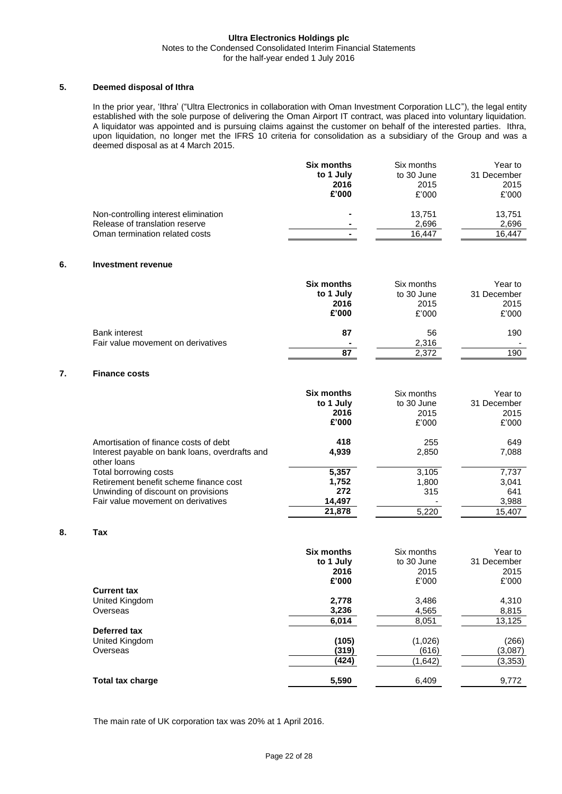#### **Ultra Electronics Holdings plc** Notes to the Condensed Consolidated Interim Financial Statements for the half-year ended 1 July 2016

#### **5. Deemed disposal of Ithra**

In the prior year, 'Ithra' ("Ultra Electronics in collaboration with Oman Investment Corporation LLC"), the legal entity established with the sole purpose of delivering the Oman Airport IT contract, was placed into voluntary liquidation. A liquidator was appointed and is pursuing claims against the customer on behalf of the interested parties. Ithra, upon liquidation, no longer met the IFRS 10 criteria for consolidation as a subsidiary of the Group and was a deemed disposal as at 4 March 2015.

|                                      | Six months     | Six months | Year to     |
|--------------------------------------|----------------|------------|-------------|
|                                      | to 1 July      | to 30 June | 31 December |
|                                      | 2016           | 2015       | 2015        |
|                                      | £'000          | £'000      | £'000       |
| Non-controlling interest elimination | ۰              | 13.751     | 13,751      |
| Release of translation reserve       | $\blacksquare$ | 2,696      | 2,696       |
| Oman termination related costs       | ۰              | 16.447     | 16.447      |

#### **6. Investment revenue**

|                                    | <b>Six months</b> | Six months | Year to     |
|------------------------------------|-------------------|------------|-------------|
|                                    | to 1 July         | to 30 June | 31 December |
|                                    | 2016              | 2015       | 2015        |
|                                    | £'000             | £'000      | £'000       |
| <b>Bank interest</b>               | 87                | 56         | 190         |
| Fair value movement on derivatives | $\blacksquare$    | 2,316      |             |
|                                    | 87                | 2.372      | 190         |

#### **7. Finance costs**

|                                                                                                        | <b>Six months</b><br>to 1 July<br>2016<br>£'000 | Six months<br>to 30 June<br>2015<br>£'000 | Year to<br>31 December<br>2015<br>£'000 |
|--------------------------------------------------------------------------------------------------------|-------------------------------------------------|-------------------------------------------|-----------------------------------------|
| Amortisation of finance costs of debt<br>Interest payable on bank loans, overdrafts and<br>other loans | 418<br>4,939                                    | 255<br>2,850                              | 649<br>7,088                            |
| Total borrowing costs                                                                                  | 5,357                                           | 3,105                                     | 7,737                                   |
| Retirement benefit scheme finance cost                                                                 | 1,752                                           | 1,800                                     | 3,041                                   |
| Unwinding of discount on provisions                                                                    | 272                                             | 315                                       | 641                                     |
| Fair value movement on derivatives                                                                     | 14,497                                          |                                           | 3,988                                   |
|                                                                                                        | 21,878                                          | 5.220                                     | 15.407                                  |

### **8. Tax**

|                    | <b>Six months</b> | Six months | Year to     |
|--------------------|-------------------|------------|-------------|
|                    | to 1 July         | to 30 June | 31 December |
|                    | 2016              | 2015       | 2015        |
|                    | £'000             | £'000      | £'000       |
| <b>Current tax</b> |                   |            |             |
| United Kingdom     | 2,778             | 3,486      | 4,310       |
| Overseas           | 3,236             | 4,565      | 8,815       |
|                    | 6,014             | 8,051      | 13,125      |
| Deferred tax       |                   |            |             |
| United Kingdom     | (105)             | (1,026)    | (266)       |
| Overseas           | (319)             | (616)      | (3,087)     |
|                    | (424)             | (1,642)    | (3, 353)    |
| Total tax charge   | 5,590             | 6,409      | 9,772       |

The main rate of UK corporation tax was 20% at 1 April 2016.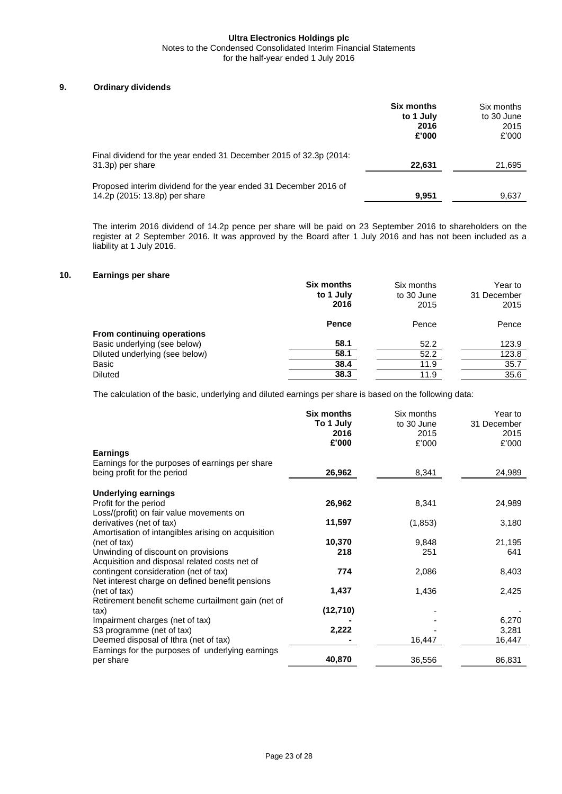Notes to the Condensed Consolidated Interim Financial Statements

### for the half-year ended 1 July 2016

#### **9. Ordinary dividends**

|                                                                                                   | <b>Six months</b><br>to 1 July<br>2016<br>£'000 | Six months<br>to 30 June<br>2015<br>£'000 |
|---------------------------------------------------------------------------------------------------|-------------------------------------------------|-------------------------------------------|
| Final dividend for the year ended 31 December 2015 of 32.3p (2014:<br>31.3p) per share            | 22,631                                          | 21,695                                    |
| Proposed interim dividend for the year ended 31 December 2016 of<br>14.2p (2015: 13.8p) per share | 9,951                                           | 9,637                                     |

The interim 2016 dividend of 14.2p pence per share will be paid on 23 September 2016 to shareholders on the register at 2 September 2016. It was approved by the Board after 1 July 2016 and has not been included as a liability at 1 July 2016.

#### **10. Earnings per share**

|                                | <b>Six months</b> | Six months | Year to     |
|--------------------------------|-------------------|------------|-------------|
|                                | to 1 July         | to 30 June | 31 December |
|                                | 2016              | 2015       | 2015        |
|                                | <b>Pence</b>      | Pence      | Pence       |
| From continuing operations     |                   |            |             |
| Basic underlying (see below)   | 58.1              | 52.2       | 123.9       |
| Diluted underlying (see below) | 58.1              | 52.2       | 123.8       |
| Basic                          | 38.4              | 11.9       | 35.7        |
| <b>Diluted</b>                 | 38.3              | 11.9       | 35.6        |

The calculation of the basic, underlying and diluted earnings per share is based on the following data:

|                                                    | <b>Six months</b> | Six months | Year to     |
|----------------------------------------------------|-------------------|------------|-------------|
|                                                    | To 1 July         | to 30 June | 31 December |
|                                                    | 2016              | 2015       | 2015        |
|                                                    | £'000             | £'000      | £'000       |
| <b>Earnings</b>                                    |                   |            |             |
| Earnings for the purposes of earnings per share    |                   |            |             |
| being profit for the period                        | 26,962            | 8,341      | 24,989      |
|                                                    |                   |            |             |
| <b>Underlying earnings</b>                         |                   |            |             |
| Profit for the period                              | 26,962            | 8,341      | 24,989      |
| Loss/(profit) on fair value movements on           |                   |            |             |
| derivatives (net of tax)                           | 11,597            | (1,853)    | 3,180       |
| Amortisation of intangibles arising on acquisition |                   |            |             |
| (net of tax)                                       | 10,370            | 9,848      | 21,195      |
| Unwinding of discount on provisions                | 218               | 251        | 641         |
| Acquisition and disposal related costs net of      |                   |            |             |
| contingent consideration (net of tax)              | 774               | 2,086      | 8,403       |
| Net interest charge on defined benefit pensions    |                   |            |             |
| (net of tax)                                       | 1,437             | 1,436      | 2,425       |
| Retirement benefit scheme curtailment gain (net of |                   |            |             |
| tax)                                               | (12, 710)         |            |             |
| Impairment charges (net of tax)                    |                   |            | 6,270       |
| S3 programme (net of tax)                          | 2,222             |            | 3,281       |
|                                                    |                   |            |             |
| Deemed disposal of Ithra (net of tax)              |                   | 16,447     | 16,447      |
| Earnings for the purposes of underlying earnings   |                   |            |             |
| per share                                          | 40,870            | 36,556     | 86,831      |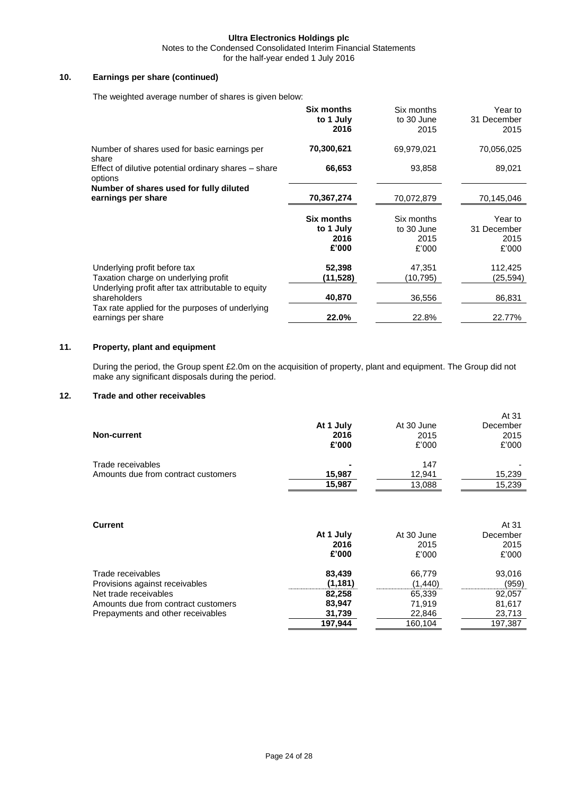Notes to the Condensed Consolidated Interim Financial Statements

for the half-year ended 1 July 2016

#### **10. Earnings per share (continued)**

The weighted average number of shares is given below:

|                                                                                                                            | <b>Six months</b><br>to 1 July<br>2016          | Six months<br>to 30 June<br>2015          | Year to<br>31 December<br>2015          |
|----------------------------------------------------------------------------------------------------------------------------|-------------------------------------------------|-------------------------------------------|-----------------------------------------|
| Number of shares used for basic earnings per<br>share                                                                      | 70,300,621                                      | 69,979,021                                | 70,056,025                              |
| Effect of dilutive potential ordinary shares – share<br>options                                                            | 66,653                                          | 93,858                                    | 89,021                                  |
| Number of shares used for fully diluted<br>earnings per share                                                              | 70,367,274                                      | 70,072,879                                | 70,145,046                              |
|                                                                                                                            | <b>Six months</b><br>to 1 July<br>2016<br>£'000 | Six months<br>to 30 June<br>2015<br>£'000 | Year to<br>31 December<br>2015<br>£'000 |
| Underlying profit before tax<br>Taxation charge on underlying profit<br>Underlying profit after tax attributable to equity | 52,398<br>(11,528)                              | 47.351<br>(10,795)                        | 112,425<br>(25,594)                     |
| shareholders<br>Tax rate applied for the purposes of underlying                                                            | 40,870                                          | 36,556                                    | 86,831                                  |
| earnings per share                                                                                                         | 22.0%                                           | 22.8%                                     | 22.77%                                  |

### **11. Property, plant and equipment**

During the period, the Group spent £2.0m on the acquisition of property, plant and equipment. The Group did not make any significant disposals during the period.

### **12. Trade and other receivables**

| Non-current                                              | At 1 July<br>2016<br>£'000 | At 30 June<br>2015<br>£'000 | At 31<br>December<br>2015<br>£'000 |
|----------------------------------------------------------|----------------------------|-----------------------------|------------------------------------|
| Trade receivables<br>Amounts due from contract customers | $\blacksquare$<br>15,987   | 147<br>12,941               | 15,239                             |
|                                                          | 15,987                     | 13,088                      | 15,239                             |

| <b>Current</b>                      |           |            | At 31    |
|-------------------------------------|-----------|------------|----------|
|                                     | At 1 July | At 30 June | December |
|                                     | 2016      | 2015       | 2015     |
|                                     | £'000     | £'000      | £'000    |
| Trade receivables                   | 83,439    | 66.779     | 93,016   |
| Provisions against receivables      | (1, 181)  | (1,440)    | (959)    |
| Net trade receivables               | 82,258    | 65,339     | 92,057   |
| Amounts due from contract customers | 83,947    | 71.919     | 81,617   |
| Prepayments and other receivables   | 31,739    | 22,846     | 23,713   |
|                                     | 197,944   | 160,104    | 197,387  |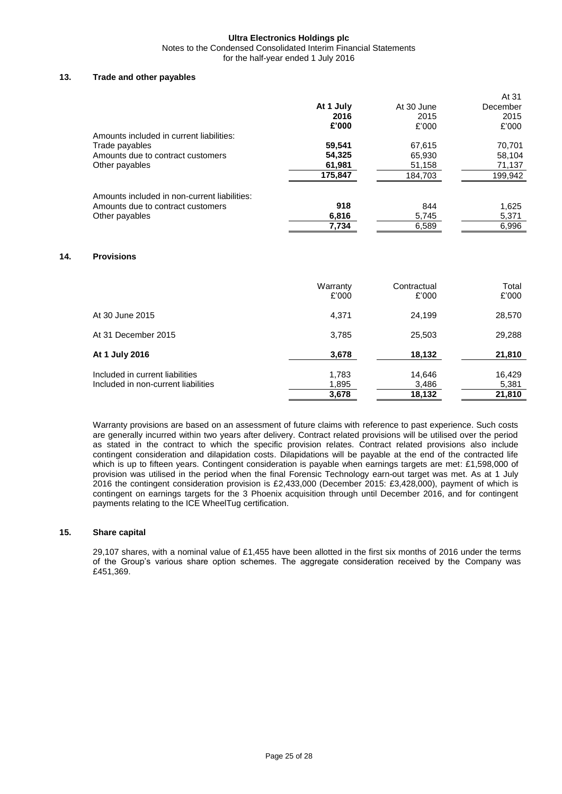#### **Ultra Electronics Holdings plc** Notes to the Condensed Consolidated Interim Financial Statements

for the half-year ended 1 July 2016

#### **13. Trade and other payables**

|                                              |           |            | At 31    |
|----------------------------------------------|-----------|------------|----------|
|                                              | At 1 July | At 30 June | December |
|                                              | 2016      | 2015       | 2015     |
|                                              | £'000     | £'000      | £'000    |
| Amounts included in current liabilities:     |           |            |          |
| Trade payables                               | 59,541    | 67.615     | 70,701   |
| Amounts due to contract customers            | 54,325    | 65,930     | 58,104   |
| Other payables                               | 61,981    | 51,158     | 71,137   |
|                                              | 175,847   | 184,703    | 199,942  |
| Amounts included in non-current liabilities: |           |            |          |
| Amounts due to contract customers            | 918       | 844        | 1,625    |
| Other payables                               | 6,816     | 5,745      | 5,371    |
|                                              | 7,734     | 6,589      | 6.996    |

#### **14. Provisions**

|                                     | Warranty<br>£'000 | Contractual<br>£'000 | Total<br>£'000 |
|-------------------------------------|-------------------|----------------------|----------------|
| At 30 June 2015                     | 4,371             | 24.199               | 28,570         |
| At 31 December 2015                 | 3,785             | 25,503               | 29,288         |
| At 1 July 2016                      | 3,678             | 18,132               | 21,810         |
| Included in current liabilities     | 1,783             | 14,646               | 16,429         |
| Included in non-current liabilities | 1,895             | 3,486                | 5,381          |
|                                     | 3,678             | 18,132               | 21,810         |

Warranty provisions are based on an assessment of future claims with reference to past experience. Such costs are generally incurred within two years after delivery. Contract related provisions will be utilised over the period as stated in the contract to which the specific provision relates. Contract related provisions also include contingent consideration and dilapidation costs. Dilapidations will be payable at the end of the contracted life which is up to fifteen years. Contingent consideration is payable when earnings targets are met: £1,598,000 of provision was utilised in the period when the final Forensic Technology earn-out target was met. As at 1 July 2016 the contingent consideration provision is £2,433,000 (December 2015: £3,428,000), payment of which is contingent on earnings targets for the 3 Phoenix acquisition through until December 2016, and for contingent payments relating to the ICE WheelTug certification.

#### **15. Share capital**

29,107 shares, with a nominal value of £1,455 have been allotted in the first six months of 2016 under the terms of the Group's various share option schemes. The aggregate consideration received by the Company was £451,369.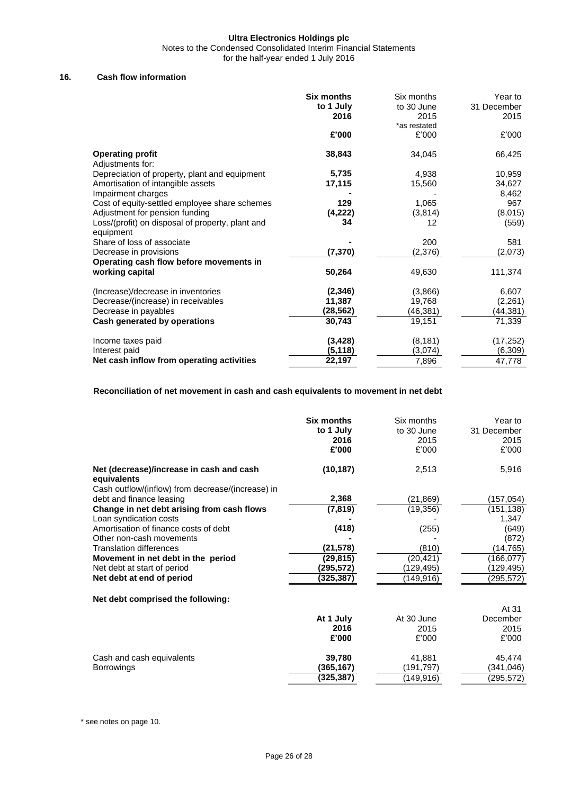Notes to the Condensed Consolidated Interim Financial Statements

for the half-year ended 1 July 2016

#### **16. Cash flow information**

|                                                  | <b>Six months</b> | Six months   | Year to     |
|--------------------------------------------------|-------------------|--------------|-------------|
|                                                  | to 1 July         | to 30 June   | 31 December |
|                                                  | 2016              | 2015         | 2015        |
|                                                  |                   | *as restated |             |
|                                                  | £'000             | £'000        | £'000       |
| <b>Operating profit</b>                          | 38,843            | 34,045       | 66,425      |
| Adjustments for:                                 |                   |              |             |
| Depreciation of property, plant and equipment    | 5,735             | 4,938        | 10,959      |
| Amortisation of intangible assets                | 17,115            | 15,560       | 34,627      |
| Impairment charges                               |                   |              | 8,462       |
| Cost of equity-settled employee share schemes    | 129               | 1,065        | 967         |
| Adjustment for pension funding                   | (4,222)           | (3,814)      | (8,015)     |
| Loss/(profit) on disposal of property, plant and | 34                | 12           | (559)       |
| equipment                                        |                   |              |             |
| Share of loss of associate                       |                   | 200          | 581         |
| Decrease in provisions                           | (7, 370)          | (2,376)      | (2,073)     |
| Operating cash flow before movements in          |                   |              |             |
| working capital                                  | 50,264            | 49,630       | 111,374     |
| (Increase)/decrease in inventories               | (2, 346)          | (3,866)      | 6,607       |
| Decrease/(increase) in receivables               | 11,387            | 19,768       | (2, 261)    |
| Decrease in payables                             | (28,562)          | (46,381)     | (44, 381)   |
| Cash generated by operations                     | 30,743            | 19,151       | 71,339      |
|                                                  |                   |              |             |
| Income taxes paid                                | (3, 428)          | (8, 181)     | (17, 252)   |
| Interest paid                                    | (5, 118)          | (3,074)      | (6,309)     |
| Net cash inflow from operating activities        | 22,197            | 7,896        | 47,778      |

#### **Reconciliation of net movement in cash and cash equivalents to movement in net debt**

|                                                                 | <b>Six months</b><br>to 1 July<br>2016 | Six months<br>to 30 June<br>2015 | Year to<br>31 December<br>2015 |
|-----------------------------------------------------------------|----------------------------------------|----------------------------------|--------------------------------|
|                                                                 | £'000                                  | £'000                            | £'000                          |
| Net (decrease)/increase in cash and cash<br>equivalents         | (10, 187)                              | 2,513                            | 5,916                          |
| Cash outflow/(inflow) from decrease/(increase) in               | 2,368                                  |                                  |                                |
| debt and finance leasing                                        |                                        | (21, 869)                        | (157,054)                      |
| Change in net debt arising from cash flows                      | (7, 819)                               | (19, 356)                        | (151,138)                      |
| Loan syndication costs<br>Amortisation of finance costs of debt | (418)                                  | (255)                            | 1,347<br>(649)                 |
| Other non-cash movements                                        |                                        |                                  | (872)                          |
| <b>Translation differences</b>                                  | (21, 578)                              | (810)                            | (14, 765)                      |
| Movement in net debt in the period                              | (29, 815)                              |                                  |                                |
|                                                                 | (295,572)                              | (20, 421)                        | (166,077)                      |
| Net debt at start of period                                     |                                        | (129,495)                        | (129, 495)                     |
| Net debt at end of period                                       | (325, 387)                             | (149,916)                        | (295,572)                      |
| Net debt comprised the following:                               |                                        |                                  |                                |
|                                                                 |                                        |                                  | At 31                          |
|                                                                 | At 1 July                              | At 30 June                       | December                       |
|                                                                 | 2016                                   | 2015                             | 2015                           |
|                                                                 | £'000                                  | £'000                            | £'000                          |
| Cash and cash equivalents                                       | 39,780                                 | 41,881                           | 45,474                         |
| <b>Borrowings</b>                                               | (365,167)                              | (191,797)                        | (341,046)                      |
|                                                                 | (325,387)                              | (149,916)                        | (295,572)                      |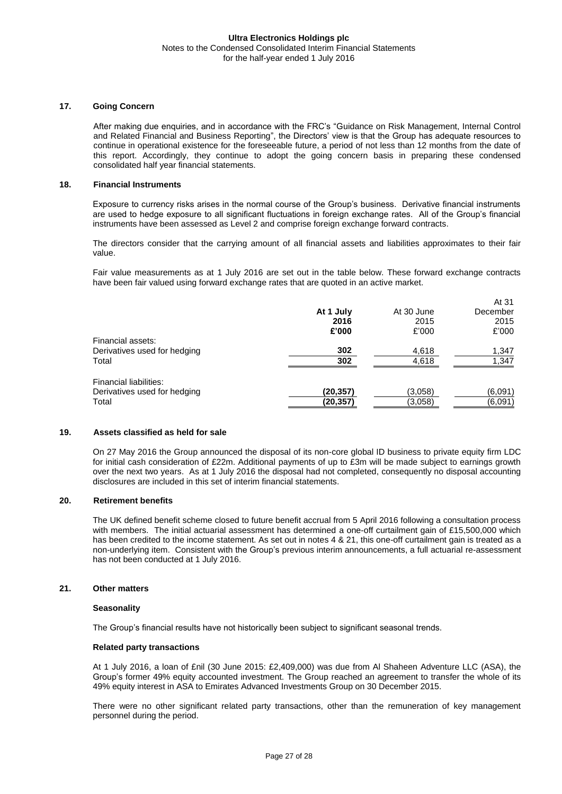#### **17. Going Concern**

After making due enquiries, and in accordance with the FRC's "Guidance on Risk Management, Internal Control and Related Financial and Business Reporting", the Directors' view is that the Group has adequate resources to continue in operational existence for the foreseeable future, a period of not less than 12 months from the date of this report. Accordingly, they continue to adopt the going concern basis in preparing these condensed consolidated half year financial statements.

#### **18. Financial Instruments**

Exposure to currency risks arises in the normal course of the Group's business. Derivative financial instruments are used to hedge exposure to all significant fluctuations in foreign exchange rates. All of the Group's financial instruments have been assessed as Level 2 and comprise foreign exchange forward contracts.

The directors consider that the carrying amount of all financial assets and liabilities approximates to their fair value.

Fair value measurements as at 1 July 2016 are set out in the table below. These forward exchange contracts have been fair valued using forward exchange rates that are quoted in an active market.

 $A + 24$ 

|                              |           |            | AU JI    |
|------------------------------|-----------|------------|----------|
|                              | At 1 July | At 30 June | December |
|                              | 2016      | 2015       | 2015     |
|                              | £'000     | £'000      | £'000    |
| Financial assets:            |           |            |          |
| Derivatives used for hedging | 302       | 4,618      | 1,347    |
| Total                        | 302       | 4.618      | 1,347    |
| Financial liabilities:       |           |            |          |
| Derivatives used for hedging | (20, 357) | (3,058)    | (6,091)  |
| Total                        | (20,357)  | (3,058)    | (6,091)  |
|                              |           |            |          |

#### **19. Assets classified as held for sale**

On 27 May 2016 the Group announced the disposal of its non-core global ID business to private equity firm LDC for initial cash consideration of £22m. Additional payments of up to £3m will be made subject to earnings growth over the next two years. As at 1 July 2016 the disposal had not completed, consequently no disposal accounting disclosures are included in this set of interim financial statements.

#### **20. Retirement benefits**

The UK defined benefit scheme closed to future benefit accrual from 5 April 2016 following a consultation process with members. The initial actuarial assessment has determined a one-off curtailment gain of £15,500,000 which has been credited to the income statement. As set out in notes 4 & 21, this one-off curtailment gain is treated as a non-underlying item. Consistent with the Group's previous interim announcements, a full actuarial re-assessment has not been conducted at 1 July 2016.

#### **21. Other matters**

#### **Seasonality**

The Group's financial results have not historically been subject to significant seasonal trends.

#### **Related party transactions**

At 1 July 2016, a loan of £nil (30 June 2015: £2,409,000) was due from Al Shaheen Adventure LLC (ASA), the Group's former 49% equity accounted investment. The Group reached an agreement to transfer the whole of its 49% equity interest in ASA to Emirates Advanced Investments Group on 30 December 2015.

There were no other significant related party transactions, other than the remuneration of key management personnel during the period.